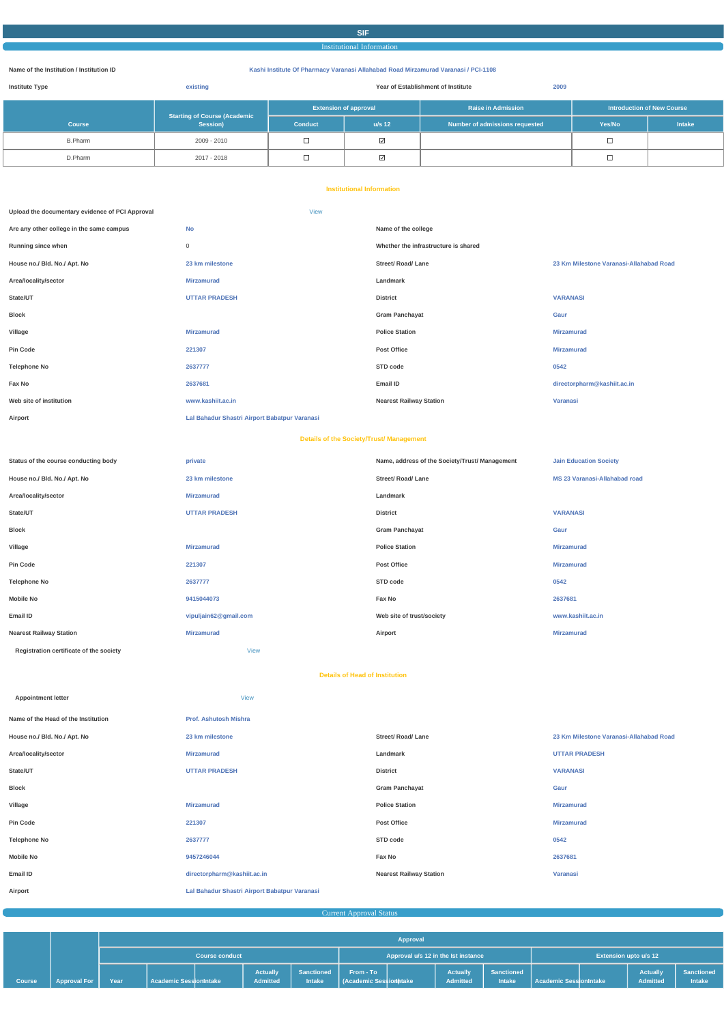## **SIF**

### Institutional Information

#### **Name of the Institution / Institution ID Kashi Institute Of Pharmacy Varanasi Allahabad Road Mirzamurad Varanasi / PCI-1108**

| <b>Institute Type</b> | existing                                        | Year of Establishment of Institute |                              |                                |        |                                   |
|-----------------------|-------------------------------------------------|------------------------------------|------------------------------|--------------------------------|--------|-----------------------------------|
|                       |                                                 |                                    | <b>Extension of approval</b> | <b>Raise in Admission</b>      |        | <b>Introduction of New Course</b> |
| <b>Course</b>         | <b>Starting of Course (Academic</b><br>Session) | <b>Conduct</b>                     | $u/s$ 12                     | Number of admissions requested | Yes/No | Intake                            |
| <b>B.Pharm</b>        | 2009 - 2010                                     | ᆸ                                  | ☑                            |                                |        |                                   |
| D.Pharm               | 2017 - 2018                                     | ٮ                                  | ☑                            |                                | 一      |                                   |

#### **Institutional Information**

| Upload the documentary evidence of PCI Approval |                                               | <b>View</b> |                                      |                                         |
|-------------------------------------------------|-----------------------------------------------|-------------|--------------------------------------|-----------------------------------------|
| Are any other college in the same campus        | <b>No</b>                                     |             | Name of the college                  |                                         |
| Running since when                              | $\overline{0}$                                |             | Whether the infrastructure is shared |                                         |
| House no./ Bld. No./ Apt. No                    | 23 km milestone                               |             | <b>Street/ Road/ Lane</b>            | 23 Km Milestone Varanasi-Allahabad Road |
| Area/locality/sector                            | <b>Mirzamurad</b>                             |             | Landmark                             |                                         |
| State/UT                                        | <b>UTTAR PRADESH</b>                          |             | <b>District</b>                      | <b>VARANASI</b>                         |
| <b>Block</b>                                    |                                               |             | <b>Gram Panchayat</b>                | Gaur                                    |
| Village                                         | <b>Mirzamurad</b>                             |             | <b>Police Station</b>                | <b>Mirzamurad</b>                       |
| <b>Pin Code</b>                                 | 221307                                        |             | <b>Post Office</b>                   | <b>Mirzamurad</b>                       |
| <b>Telephone No</b>                             | 2637777                                       |             | STD code                             | 0542                                    |
| Fax No                                          | 2637681                                       |             | Email ID                             | directorpharm@kashiit.ac.in             |
| Web site of institution                         | www.kashiit.ac.in                             |             | <b>Nearest Railway Station</b>       | <b>Varanasi</b>                         |
| Airport                                         | Lal Bahadur Shastri Airport Babatpur Varanasi |             |                                      |                                         |

#### **Details of the Society/Trust/ Management**

| Status of the course conducting body    | private               | Name, address of the Society/Trust/ Management | <b>Jain Education Society</b>        |
|-----------------------------------------|-----------------------|------------------------------------------------|--------------------------------------|
| House no./ Bld. No./ Apt. No            | 23 km milestone       | <b>Street/ Road/ Lane</b>                      | <b>MS 23 Varanasi-Allahabad road</b> |
| Area/locality/sector                    | <b>Mirzamurad</b>     | Landmark                                       |                                      |
| State/UT                                | <b>UTTAR PRADESH</b>  | <b>District</b>                                | <b>VARANASI</b>                      |
| Block                                   |                       | <b>Gram Panchayat</b>                          | Gaur                                 |
| Village                                 | <b>Mirzamurad</b>     | <b>Police Station</b>                          | <b>Mirzamurad</b>                    |
| Pin Code                                | 221307                | <b>Post Office</b>                             | <b>Mirzamurad</b>                    |
| <b>Telephone No</b>                     | 2637777               | STD code                                       | 0542                                 |
| Mobile No                               | 9415044073            | Fax No                                         | 2637681                              |
| Email ID                                | vipuljain62@gmail.com | Web site of trust/society                      | www.kashiit.ac.in                    |
| <b>Nearest Railway Station</b>          | <b>Mirzamurad</b>     | Airport                                        | <b>Mirzamurad</b>                    |
| Registration certificate of the society | <b>View</b>           |                                                |                                      |

#### **Details of Head of Institution**

| <b>Appointment letter</b>           | View                         |
|-------------------------------------|------------------------------|
| Name of the Head of the Institution | <b>Prof. Ashutosh Mishra</b> |
| House no./ Bld. No./ Apt. No        | 23 km milestone              |
| AvenUnnality/anatox                 | <b>Missons</b> cond          |

| House no./ Bld. No./ Apt. No | 23 km milestone      | <b>Street/ Road/ Lane</b> | 23 Km Milestone Varanasi-Allahabad Road |
|------------------------------|----------------------|---------------------------|-----------------------------------------|
| Area/locality/sector         | <b>Mirzamurad</b>    | Landmark                  | <b>UTTAR PRADESH</b>                    |
| State/UT                     | <b>UTTAR PRADESH</b> | <b>District</b>           | <b>VARANASI</b>                         |

| <b>Block</b>        |                                               | <b>Gram Panchayat</b>          | Gaur              |
|---------------------|-----------------------------------------------|--------------------------------|-------------------|
| Village             | <b>Mirzamurad</b>                             | <b>Police Station</b>          | <b>Mirzamurad</b> |
| Pin Code            | 221307                                        | <b>Post Office</b>             | <b>Mirzamurad</b> |
| <b>Telephone No</b> | 2637777                                       | STD code                       | 0542              |
| <b>Mobile No</b>    | 9457246044                                    | Fax No                         | 2637681           |
| Email ID            | directorpharm@kashiit.ac.in                   | <b>Nearest Railway Station</b> | Varanasi          |
| Airport             | Lal Bahadur Shastri Airport Babatpur Varanasi |                                |                   |

Current Approval Status

|               |                     |                       |                               |  |                                     |                                    |                                    | Approval                     |                             |                                    |                               |  |                             |                             |
|---------------|---------------------|-----------------------|-------------------------------|--|-------------------------------------|------------------------------------|------------------------------------|------------------------------|-----------------------------|------------------------------------|-------------------------------|--|-----------------------------|-----------------------------|
|               |                     | <b>Course conduct</b> |                               |  | Approval u/s 12 in the lst instance |                                    |                                    | <b>Extension upto u/s 12</b> |                             |                                    |                               |  |                             |                             |
| <b>Course</b> | <b>Approval For</b> | Year                  | <b>Academic SessionIntake</b> |  | <b>Actually</b><br>Admitted         | <b>Sanctioned</b><br><b>Intake</b> | From - To<br>Academic Session take |                              | <b>Actually</b><br>Admitted | <b>Sanctioned</b><br><b>Intake</b> | <b>Academic SessionIntake</b> |  | <b>Actually</b><br>Admitted | <b>Sanctioned</b><br>Intake |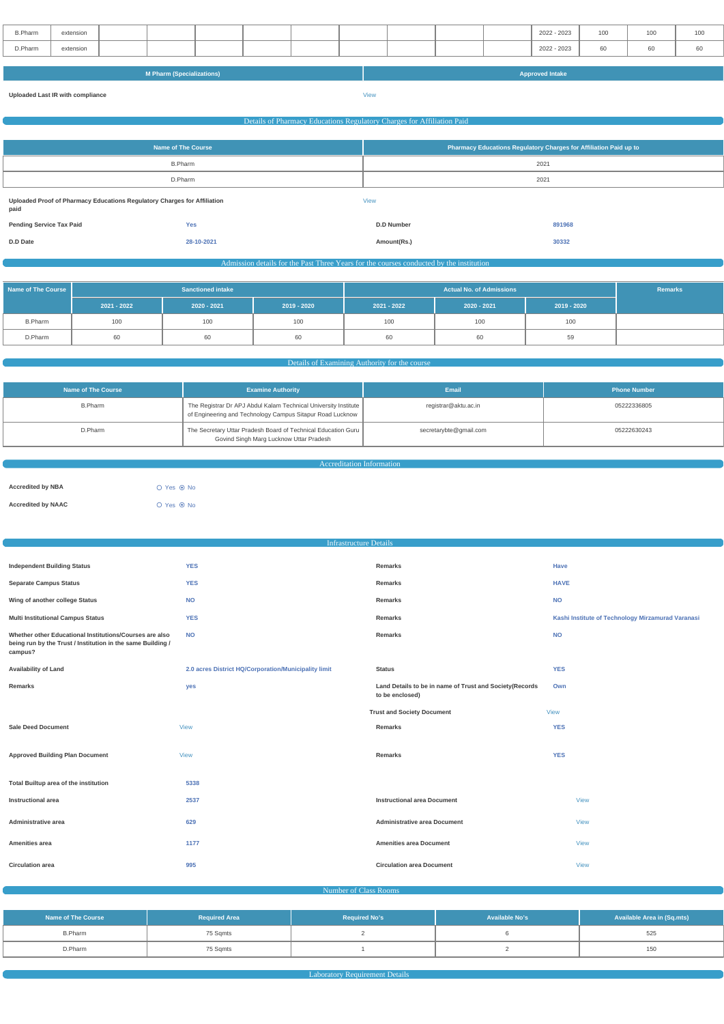| <b>B.Pharm</b>            | extension |  |  |  |  |  |                        |  | 2022 - 2023 | 100 | 100 | 100 |
|---------------------------|-----------|--|--|--|--|--|------------------------|--|-------------|-----|-----|-----|
| D.Pharm                   | extension |  |  |  |  |  |                        |  | 2022 - 2023 | 60  | 60  | 60  |
|                           |           |  |  |  |  |  |                        |  |             |     |     |     |
| M Pharm (Specializations) |           |  |  |  |  |  | <b>Approved Intake</b> |  |             |     |     |     |

**Uploaded Last IR with compliance** [View](https://dgpm.nic.in/institute/getmongoPdfFile.do?renreceiptid=8c5b3e87-eb64-418c-92dc-394e0d9d12cd&tablename=lastircompliance)

Details of Pharmacy Educations Regulatory Charges for Affiliation Paid

|                                                                                  | <b>Name of The Course</b> | Pharmacy Educations Regulatory Charges for Affiliation Paid up to |        |  |  |  |
|----------------------------------------------------------------------------------|---------------------------|-------------------------------------------------------------------|--------|--|--|--|
|                                                                                  | <b>B.Pharm</b>            | 2021                                                              |        |  |  |  |
|                                                                                  | D.Pharm                   |                                                                   | 2021   |  |  |  |
| Uploaded Proof of Pharmacy Educations Regulatory Charges for Affiliation<br>paid |                           | <b>View</b>                                                       |        |  |  |  |
| <b>Pending Service Tax Paid</b>                                                  | Yes                       | <b>D.D Number</b>                                                 | 891968 |  |  |  |
| D.D Date                                                                         | 28-10-2021                | Amount(Rs.)                                                       | 30332  |  |  |  |

Admission details for the Past Three Years for the courses conducted by the institution

| Name of The Course | <b>Sanctioned intake</b> |             |             |             | <b>Remarks</b> |             |  |
|--------------------|--------------------------|-------------|-------------|-------------|----------------|-------------|--|
|                    | 2021 - 2022              | 2020 - 2021 | 2019 - 2020 | 2021 - 2022 | $2020 - 2021$  | 2019 - 2020 |  |
| <b>B.Pharm</b>     | 100                      | 100         | 100         | 100         | 100            | 100         |  |
| D.Pharm            | 60                       | 60          | 60          | σU          | 60             | 59          |  |

### Details of Examining Authority for the course

| Name of The Course | <b>Examine Authority</b>                                                                                                       | Email                  | <b>Phone Number</b> |
|--------------------|--------------------------------------------------------------------------------------------------------------------------------|------------------------|---------------------|
| <b>B.Pharm</b>     | The Registrar Dr APJ Abdul Kalam Technical University Institute  <br>of Engineering and Technology Campus Sitapur Road Lucknow | registrar@aktu.ac.in   | 05222336805         |
| D.Pharm            | The Secretary Uttar Pradesh Board of Technical Education Guru<br>Govind Singh Marg Lucknow Uttar Pradesh                       | secretarybte@gmail.com | 05222630243         |

Accreditation Information

| <b>Accredited by NBA</b>  | $O$ Yes $\odot$ No |
|---------------------------|--------------------|
| <b>Accredited by NAAC</b> | $O$ Yes $\odot$ No |

**Accredited by No** 

|                                                                                                                                   | <b>Infrastructure Details</b>                        |                                                                            |                                                   |
|-----------------------------------------------------------------------------------------------------------------------------------|------------------------------------------------------|----------------------------------------------------------------------------|---------------------------------------------------|
|                                                                                                                                   |                                                      |                                                                            |                                                   |
| <b>Independent Building Status</b>                                                                                                | <b>YES</b>                                           | Remarks                                                                    | Have                                              |
| <b>Separate Campus Status</b>                                                                                                     | <b>YES</b>                                           | Remarks                                                                    | <b>HAVE</b>                                       |
| Wing of another college Status                                                                                                    | <b>NO</b>                                            | Remarks                                                                    | <b>NO</b>                                         |
| <b>Multi Institutional Campus Status</b>                                                                                          | <b>YES</b>                                           | Remarks                                                                    | Kashi Institute of Technology Mirzamurad Varanasi |
| Whether other Educational Institutions/Courses are also<br>being run by the Trust / Institution in the same Building /<br>campus? | <b>NO</b>                                            | Remarks                                                                    | <b>NO</b>                                         |
| <b>Availability of Land</b>                                                                                                       | 2.0 acres District HQ/Corporation/Municipality limit | <b>Status</b>                                                              | <b>YES</b>                                        |
| <b>Remarks</b>                                                                                                                    | yes                                                  | Land Details to be in name of Trust and Society(Records<br>to be enclosed) | Own                                               |
|                                                                                                                                   |                                                      | <b>Trust and Society Document</b>                                          | <b>View</b>                                       |
| <b>Sale Deed Document</b>                                                                                                         | <b>View</b>                                          | Remarks                                                                    | <b>YES</b>                                        |
| <b>Approved Building Plan Document</b>                                                                                            | <b>View</b>                                          | Remarks                                                                    | <b>YES</b>                                        |

| Total Builtup area of the institution | 5338 |                                     |             |
|---------------------------------------|------|-------------------------------------|-------------|
| Instructional area                    | 2537 | <b>Instructional area Document</b>  | <b>View</b> |
| Administrative area                   | 629  | <b>Administrative area Document</b> | <b>View</b> |
| Amenities area                        | 1177 | <b>Amenities area Document</b>      | <b>View</b> |
| <b>Circulation area</b>               | 995  | <b>Circulation area Document</b>    | <b>View</b> |

**Number of Class Rooms** 

| <b>Name of The Course</b> | <b>Required Area</b> | <b>Required No's</b> | <b>Available No's</b> | <b>Available Area in (Sq.mts)</b> |  |
|---------------------------|----------------------|----------------------|-----------------------|-----------------------------------|--|
| <b>B.Pharm</b>            | 75 Sqmts             |                      |                       | 525                               |  |
| D.Pharm                   | 75 Sqmts             |                      |                       | 150                               |  |

Laboratory Requirement Details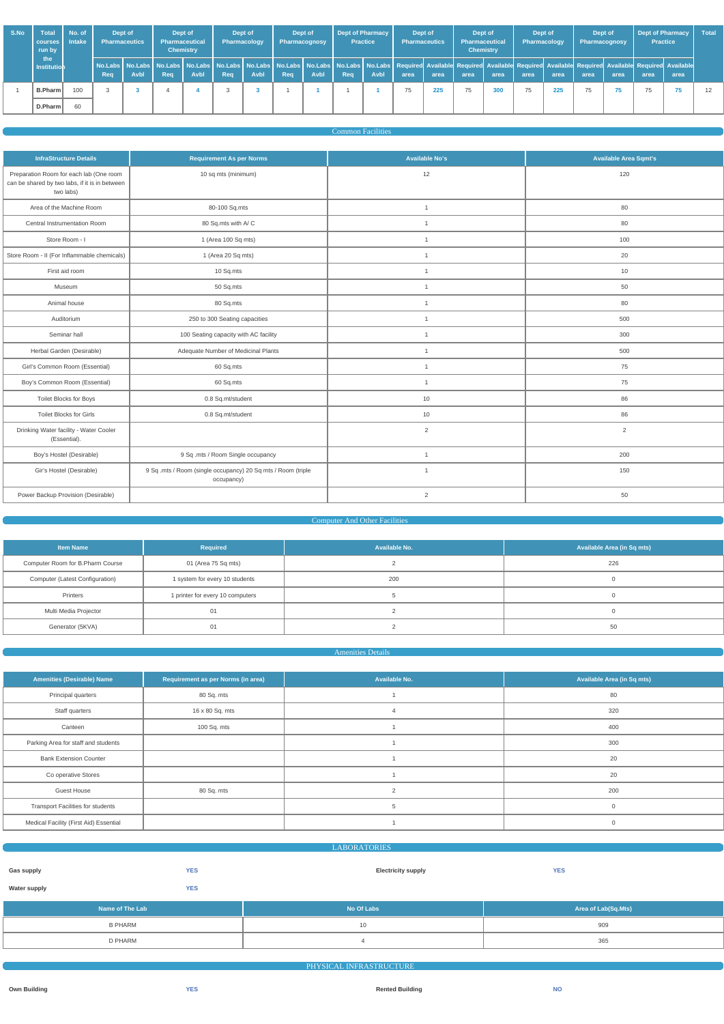| S.No | <b>Total</b><br>courses I<br>run by | No. of<br><b>Intake</b> | Dept of<br><b>Pharmaceutics</b> |             | Dept of<br><b>Pharmaceutical</b> | <b>Chemistry</b> | Dept of<br>Pharmacology |      | Dept of<br>Pharmacognosy |             | Dept of Pharmacy<br><b>Practice</b> |      | Dept of<br><b>Pharmaceutics</b>                                                                                                                                                                                                        |      | Dept of<br><b>Pharmaceutical</b><br><b>Chemistry</b> |      | Dept of<br><b>Pharmacology</b> |      | Dept of<br><b>Pharmacognosy</b> |      | <b>Dept of Pharmacy</b><br><b>Practice</b> |      | <b>Total</b> |
|------|-------------------------------------|-------------------------|---------------------------------|-------------|----------------------------------|------------------|-------------------------|------|--------------------------|-------------|-------------------------------------|------|----------------------------------------------------------------------------------------------------------------------------------------------------------------------------------------------------------------------------------------|------|------------------------------------------------------|------|--------------------------------|------|---------------------------------|------|--------------------------------------------|------|--------------|
|      | the i<br>Institution                |                         | Req                             | <b>Avbl</b> | Rea                              | <b>Avbl</b>      | Req                     | Avbl | Req                      | <b>Avbl</b> | Req <sup>1</sup>                    | Avbl | No.Labs   No.Labs   No.Labs   No.Labs   No.Labs   No.Labs   No.Labs   No.Labs   No.Labs   No.Labs   Required Available Required Available Required Available Required Available Required Available Required Available Required<br>area | area | area                                                 | area | area                           | area | area                            | area | area                                       | area |              |
|      | B.Pharm                             | 100                     |                                 |             |                                  |                  | - 3                     |      |                          |             |                                     |      | 75                                                                                                                                                                                                                                     | 225  | 75                                                   | 300  | 75                             | 225  | 75                              | 75   | 75                                         | 75   | 12           |
|      | D.Pharm                             | 60                      |                                 |             |                                  |                  |                         |      |                          |             |                                     |      |                                                                                                                                                                                                                                        |      |                                                      |      |                                |      |                                 |      |                                            |      |              |

## Common Facilities

| <b>InfraStructure Details</b>                                                                          | <b>Requirement As per Norms</b>                                            | <b>Available No's</b> | <b>Available Area Sqmt's</b> |
|--------------------------------------------------------------------------------------------------------|----------------------------------------------------------------------------|-----------------------|------------------------------|
| Preparation Room for each lab (One room<br>can be shared by two labs, if it is in between<br>two labs) | 10 sq mts (minimum)                                                        | 12                    | 120                          |
| Area of the Machine Room                                                                               | 80-100 Sq.mts                                                              | $\mathbf{1}$          | 80                           |
| Central Instrumentation Room                                                                           | 80 Sq.mts with A/C                                                         | $\mathbf{1}$          | 80                           |
| Store Room - I                                                                                         | 1 (Area 100 Sq mts)                                                        | $\mathbf{1}$          | 100                          |
| Store Room - II (For Inflammable chemicals)                                                            | 1 (Area 20 Sq mts)                                                         | $\mathbf{1}$          | 20                           |
| First aid room                                                                                         | 10 Sq.mts                                                                  | $\mathbf{1}$          | 10                           |
| Museum                                                                                                 | 50 Sq.mts                                                                  | $\mathbf{1}$          | 50                           |
| Animal house                                                                                           | 80 Sq.mts                                                                  | $\mathbf{1}$          | 80                           |
| Auditorium                                                                                             | 250 to 300 Seating capacities                                              | $\mathbf{1}$          | 500                          |
| Seminar hall                                                                                           | 100 Seating capacity with AC facility                                      | $\overline{1}$        | 300                          |
| Herbal Garden (Desirable)                                                                              | Adequate Number of Medicinal Plants                                        | $\mathbf{1}$          | 500                          |
| Girl's Common Room (Essential)                                                                         | 60 Sq.mts                                                                  | $\mathbf{1}$          | 75                           |
| Boy's Common Room (Essential)                                                                          | 60 Sq.mts                                                                  | $\mathbf{1}$          | 75                           |
| Toilet Blocks for Boys                                                                                 | 0.8 Sq.mt/student                                                          | 10                    | 86                           |
| Toilet Blocks for Girls                                                                                | 0.8 Sq.mt/student                                                          | 10                    | 86                           |
| Drinking Water facility - Water Cooler<br>(Essential).                                                 |                                                                            | 2                     | $\overline{2}$               |
| Boy's Hostel (Desirable)                                                                               | 9 Sq .mts / Room Single occupancy                                          | $\mathbf{1}$          | 200                          |
| Gir's Hostel (Desirable)                                                                               | 9 Sq .mts / Room (single occupancy) 20 Sq mts / Room (triple<br>occupancy) | $\mathbf{1}$          | 150                          |
| Power Backup Provision (Desirable)                                                                     |                                                                            | 2                     | 50                           |

# **Computer And Other Facilities**

| <b>Item Name</b>                 | Required                         | Available No. | Available Area (in Sq mts) |
|----------------------------------|----------------------------------|---------------|----------------------------|
| Computer Room for B.Pharm Course | 01 (Area 75 Sq mts)              |               | 226                        |
| Computer (Latest Configuration)  | 1 system for every 10 students   | 200           |                            |
| Printers                         | 1 printer for every 10 computers |               |                            |
| Multi Media Projector            | U                                |               |                            |
| Generator (5KVA)                 |                                  |               | 50                         |

#### Amenities Details

| <b>Amenities (Desirable) Name</b>        | Requirement as per Norms (in area) | Available No. | <b>Available Area (in Sq mts)</b> |
|------------------------------------------|------------------------------------|---------------|-----------------------------------|
| Principal quarters                       | 80 Sq. mts                         |               | 80                                |
| Staff quarters                           | 16 x 80 Sq. mts                    |               | 320                               |
| Canteen                                  | 100 Sq. mts                        |               | 400                               |
| Parking Area for staff and students      |                                    |               | 300                               |
| <b>Bank Extension Counter</b>            |                                    |               | 20                                |
| Co operative Stores                      |                                    |               | 20                                |
| Guest House                              | 80 Sq. mts                         | C             | 200                               |
| <b>Transport Facilities for students</b> |                                    | 5             | $\mathbf 0$                       |
| Medical Facility (First Aid) Essential   |                                    |               |                                   |

| <b>LABORATORIES</b> |                 |                           |                     |  |  |  |  |
|---------------------|-----------------|---------------------------|---------------------|--|--|--|--|
|                     |                 |                           |                     |  |  |  |  |
| Gas supply          | <b>YES</b>      | <b>Electricity supply</b> | <b>YES</b>          |  |  |  |  |
| <b>Water supply</b> | <b>YES</b>      |                           |                     |  |  |  |  |
|                     |                 |                           |                     |  |  |  |  |
|                     | Name of The Lab | No Of Labs                | Area of Lab(Sq.Mts) |  |  |  |  |

| <b>B PHARM</b> | nnr<br>ごしこ |
|----------------|------------|
| D PHARM        | ၁ပဎ        |

PHYSICAL INFRASTRUCTURE

**Own Building YES Rented Building NO**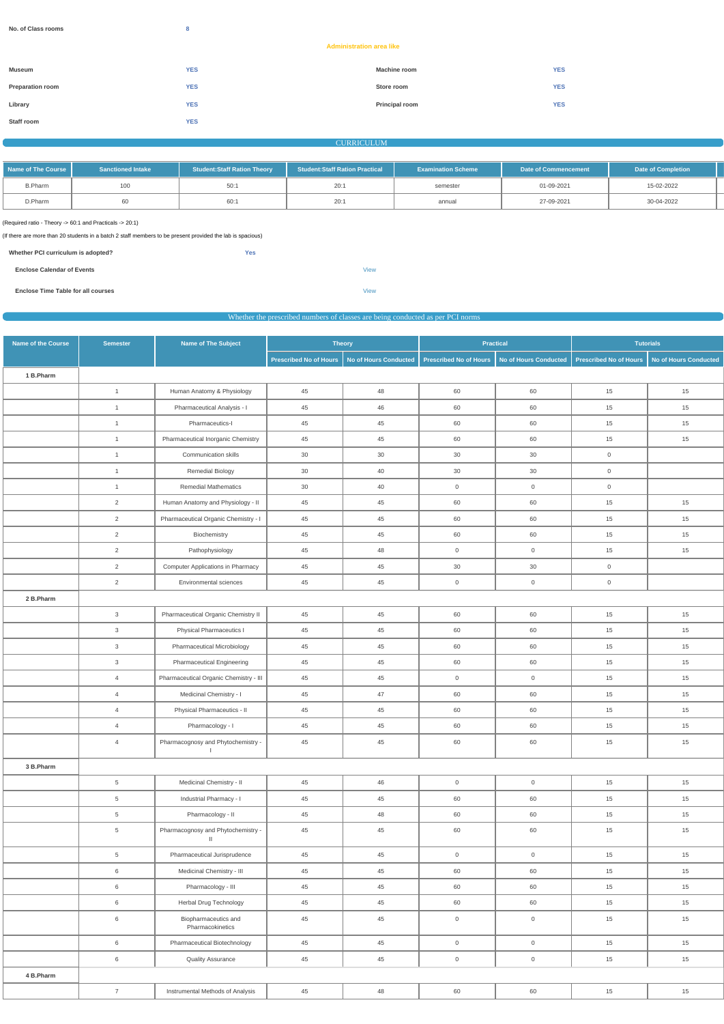#### **Administration area like**

| Museum                  | <b>YES</b> | <b>Machine room</b> | <b>YES</b> |
|-------------------------|------------|---------------------|------------|
| <b>Preparation room</b> | <b>YES</b> | Store room          | <b>YES</b> |
| Library                 | <b>YES</b> | Principal room      | <b>YES</b> |
| Staff room              | <b>YES</b> |                     |            |

## CURRICULUM

| Name of The Course | <b>Sanctioned Intake</b> | <b>Student:Staff Ration Theory</b> | Student:Staff Ration Practical | <b>Examination Scheme</b> | Date of Commencement | <b>Date of Completion</b> |
|--------------------|--------------------------|------------------------------------|--------------------------------|---------------------------|----------------------|---------------------------|
| <b>B.Pharm</b>     | 100                      | 50:1                               | 20:                            | semester                  | 01-09-2021           | 15-02-2022                |
| D.Pharm            | 60                       | 60:1                               | 20:1                           | annual                    | 27-09-2021           | 30-04-2022                |

(Required ratio - Theory -> 60:1 and Practicals -> 20:1)

(If there are more than 20 students in a batch 2 staff members to be present provided the lab is spacious)

| Whether PCI curriculum is adopted? | <b>Yes</b> |             |
|------------------------------------|------------|-------------|
| <b>Enclose Calendar of Events</b>  |            | <b>View</b> |

**Enclose Time Table for all courses** [View](https://dgpm.nic.in/institute/getmongoPdfFile.do?renreceiptid=44b15519-1c55-432b-b8a8-a81d2d4df73a&tablename=timetable)

Whether the prescribed numbers of classes are being conducted as per PCI norms

| <b>Name of the Course</b> | <b>Semester</b> | Name of The Subject                                |                               | <b>Theory</b>         |                        | <b>Practical</b>      |                               | <b>Tutorials</b>      |
|---------------------------|-----------------|----------------------------------------------------|-------------------------------|-----------------------|------------------------|-----------------------|-------------------------------|-----------------------|
|                           |                 |                                                    | <b>Prescribed No of Hours</b> | No of Hours Conducted | Prescribed No of Hours | No of Hours Conducted | <b>Prescribed No of Hours</b> | No of Hours Conducted |
| 1 B.Pharm                 |                 |                                                    |                               |                       |                        |                       |                               |                       |
|                           | $\mathbf{1}$    | Human Anatomy & Physiology                         | 45                            | 48                    | 60                     | 60                    | 15                            | 15                    |
|                           | $\mathbf{1}$    | Pharmaceutical Analysis - I                        | 45                            | 46                    | 60                     | 60                    | 15                            | 15                    |
|                           | $\mathbf{1}$    | Pharmaceutics-I                                    | 45                            | 45                    | 60                     | 60                    | 15                            | 15                    |
|                           | $\mathbf{1}$    | Pharmaceutical Inorganic Chemistry                 | 45                            | 45                    | 60                     | 60                    | 15                            | 15                    |
|                           | $\mathbf{1}$    | Communication skills                               | 30                            | 30                    | 30                     | 30                    | $\mathsf{O}\xspace$           |                       |
|                           | $\mathbf{1}$    | Remedial Biology                                   | 30                            | 40                    | 30                     | 30                    | $\mathsf{O}\xspace$           |                       |
|                           | $\mathbf{1}$    | <b>Remedial Mathematics</b>                        | 30                            | 40                    | $\overline{0}$         | $\overline{0}$        | $\mathsf{O}\xspace$           |                       |
|                           | $\overline{2}$  | Human Anatomy and Physiology - II                  | 45                            | 45                    | 60                     | 60                    | 15                            | 15                    |
|                           | 2               | Pharmaceutical Organic Chemistry - I               | 45                            | 45                    | 60                     | 60                    | 15                            | 15                    |
|                           | $\overline{2}$  | Biochemistry                                       | 45                            | 45                    | 60                     | 60                    | 15                            | 15                    |
|                           | $\overline{2}$  | Pathophysiology                                    | 45                            | 48                    | $\overline{0}$         | $\overline{0}$        | 15                            | 15                    |
|                           | 2               | <b>Computer Applications in Pharmacy</b>           | 45                            | 45                    | 30                     | 30                    | $\mathbf 0$                   |                       |
|                           | $\overline{2}$  | Environmental sciences                             | 45                            | 45                    | $\overline{0}$         | $\overline{0}$        | $\mathsf{O}\xspace$           |                       |
| 2 B.Pharm                 |                 |                                                    |                               |                       |                        |                       |                               |                       |
|                           | $\mathbf{3}$    | Pharmaceutical Organic Chemistry II                | 45                            | 45                    | 60                     | 60                    | 15                            | 15                    |
|                           | $\mathbf{3}$    | <b>Physical Pharmaceutics I</b>                    | 45                            | 45                    | 60                     | 60                    | 15                            | 15                    |
|                           | 3               | Pharmaceutical Microbiology                        | 45                            | 45                    | 60                     | 60                    | 15                            | 15                    |
|                           | $\mathbf{3}$    | Pharmaceutical Engineering                         | 45                            | 45                    | 60                     | 60                    | 15                            | 15                    |
|                           | $\overline{4}$  | Pharmaceutical Organic Chemistry - III             | 45                            | 45                    | $\overline{0}$         | $\overline{0}$        | 15                            | 15                    |
|                           | $\overline{4}$  | Medicinal Chemistry - I                            | 45                            | 47                    | 60                     | 60                    | 15                            | 15                    |
|                           | $\overline{4}$  | Physical Pharmaceutics - II                        | 45                            | 45                    | 60                     | 60                    | 15                            | 15                    |
|                           | $\overline{4}$  | Pharmacology - I                                   | 45                            | 45                    | 60                     | 60                    | 15                            | 15                    |
|                           | $\overline{4}$  | Pharmacognosy and Phytochemistry -<br>-1           | 45                            | 45                    | 60                     | 60                    | 15                            | 15                    |
| 3 B.Pharm                 |                 |                                                    |                               |                       |                        |                       |                               |                       |
|                           | $5\overline{)}$ | Medicinal Chemistry - II                           | 45                            | 46                    | $\overline{0}$         | $\mathsf{O}$          | 15                            | 15                    |
|                           | $5\overline{)}$ | Industrial Pharmacy - I                            | 45                            | 45                    | 60                     | 60                    | 15                            | 15                    |
|                           | $5\phantom{.0}$ | Pharmacology - II                                  | 45                            | 48                    | 60                     | 60                    | 15                            | 15                    |
|                           | $5\overline{)}$ | Pharmacognosy and Phytochemistry -<br>$\mathbf{H}$ | 45                            | 45                    | 60                     | 60                    | 15                            | 15                    |
|                           | $5\phantom{.0}$ | Pharmaceutical Jurisprudence                       | 45                            | 45                    | $\overline{0}$         | $\overline{0}$        | 15                            | 15                    |
|                           | 6               | Medicinal Chemistry - III                          | 45                            | 45                    | 60                     | 60                    | 15                            | 15                    |
|                           | 6               | Pharmacology - III                                 | 45                            | $45\,$                | 60                     | 60                    | 15                            | 15                    |
|                           | 6               | Herbal Drug Technology                             | 45                            | 45                    | 60                     | 60                    | 15                            | 15                    |
|                           | 6               | Biopharmaceutics and<br>Pharmacokinetics           | 45                            | 45                    | $\mathsf{O}$           | $\overline{0}$        | 15                            | 15                    |
|                           | 6               | Pharmaceutical Biotechnology                       | 45                            | 45                    | $\overline{0}$         | $\overline{0}$        | 15                            | 15                    |
|                           | 6               | <b>Quality Assurance</b>                           | 45                            | $45\,$                | $\overline{0}$         | $\mathsf{O}\xspace$   | 15                            | 15                    |
| 4 B.Pharm                 |                 |                                                    |                               |                       |                        |                       |                               |                       |
|                           | $\overline{7}$  | Instrumental Methods of Analysis                   | 45                            | 48                    | 60                     | 60                    | 15                            | 15                    |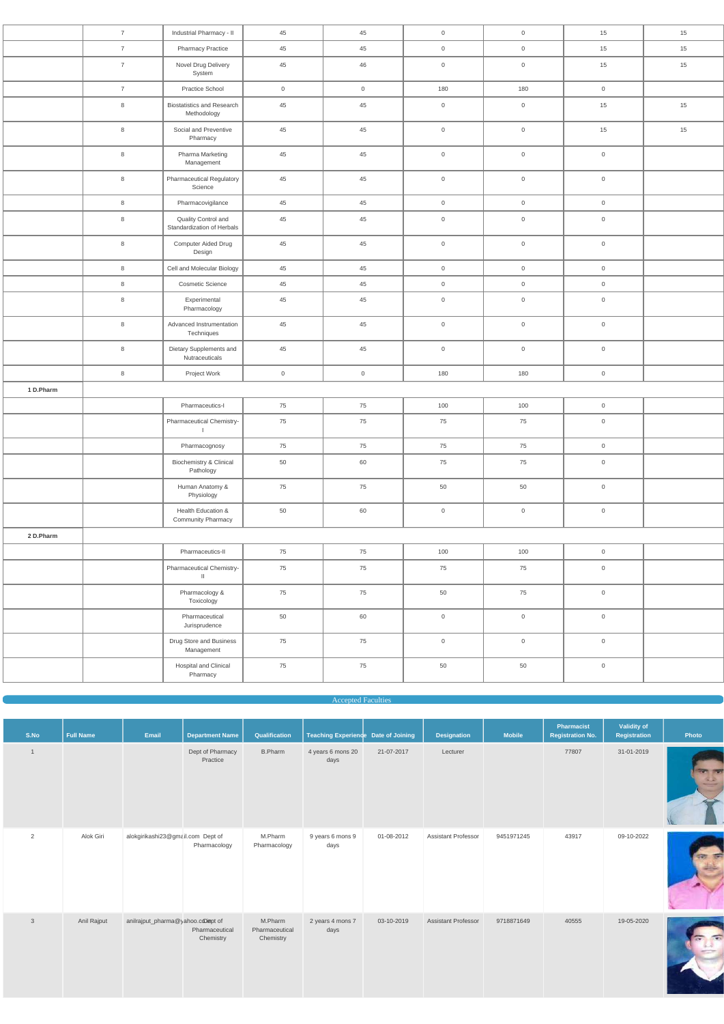|           | $\overline{7}$  | Industrial Pharmacy - II                          | 45                  | 45             | $\mathsf{O}\xspace$ | $\overline{0}$ | 15                  | 15 |
|-----------|-----------------|---------------------------------------------------|---------------------|----------------|---------------------|----------------|---------------------|----|
|           | $7\overline{ }$ | <b>Pharmacy Practice</b>                          | 45                  | 45             | $\mathsf 0$         | $\overline{0}$ | 15                  | 15 |
|           | $\overline{7}$  | Novel Drug Delivery<br>System                     | 45                  | 46             | $\mathsf{O}\xspace$ | $\overline{0}$ | 15                  | 15 |
|           | $\overline{7}$  | Practice School                                   | $\overline{0}$      | $\overline{0}$ | 180                 | 180            | $\mathsf{O}\xspace$ |    |
|           | 8               | <b>Biostatistics and Research</b><br>Methodology  | 45                  | 45             | $\mathsf{O}\xspace$ | $\overline{0}$ | 15                  | 15 |
|           | 8               | Social and Preventive<br>Pharmacy                 | 45                  | 45             | $\mathsf{O}\xspace$ | $\overline{0}$ | 15                  | 15 |
|           | $\bf8$          | Pharma Marketing<br>Management                    | 45                  | 45             | $\mathsf{O}\xspace$ | $\overline{0}$ | $\mathsf{O}\xspace$ |    |
|           | $\,8\,$         | <b>Pharmaceutical Regulatory</b><br>Science       | 45                  | 45             | $\mathsf{O}\xspace$ | $\overline{0}$ | $\mathsf{O}\xspace$ |    |
|           | 8               | Pharmacovigilance                                 | 45                  | 45             | $\mathsf{O}\xspace$ | $\overline{0}$ | $\mathsf{O}\xspace$ |    |
|           | 8               | Quality Control and<br>Standardization of Herbals | 45                  | 45             | $\mathbf 0$         | $\overline{0}$ | $\overline{0}$      |    |
|           | 8               | Computer Aided Drug<br>Design                     | 45                  | 45             | $\mathsf{O}\xspace$ | $\overline{0}$ | $\mathsf{O}\xspace$ |    |
|           | $\,8\,$         | Cell and Molecular Biology                        | 45                  | 45             | $\mathsf{O}\xspace$ | $\overline{0}$ | $\overline{0}$      |    |
|           | 8               | Cosmetic Science                                  | 45                  | 45             | $\mathsf{O}\xspace$ | $\overline{0}$ | $\overline{0}$      |    |
|           | $\bf8$          | Experimental<br>Pharmacology                      | 45                  | 45             | $\mathsf{O}\xspace$ | $\overline{0}$ | $\mathsf{O}\xspace$ |    |
|           | 8               | Advanced Instrumentation<br>Techniques            | 45                  | 45             | $\mathsf{O}\xspace$ | $\overline{0}$ | $\mathsf{O}\xspace$ |    |
|           | $\,8\,$         | Dietary Supplements and<br>Nutraceuticals         | 45                  | 45             | $\,0\,$             | $\overline{0}$ | $\mathsf{O}\xspace$ |    |
|           | $\bf8$          | Project Work                                      | $\mathsf{O}\xspace$ | $\overline{0}$ | 180                 | 180            | $\mathsf{O}$        |    |
| 1 D.Pharm |                 |                                                   |                     |                |                     |                |                     |    |
|           |                 | Pharmaceutics-I                                   | $75\,$              | 75             | 100                 | 100            | $\mathbf 0$         |    |
|           |                 | Pharmaceutical Chemistry-<br>$\Box$               | 75                  | 75             | 75                  | 75             | $\mathsf{O}\xspace$ |    |
|           |                 | Pharmacognosy                                     | 75                  | 75             | 75                  | 75             | $\mathsf{O}$        |    |
|           |                 | Biochemistry & Clinical<br>Pathology              | 50                  | 60             | 75                  | 75             | $\mathsf{O}\xspace$ |    |
|           |                 | Human Anatomy &<br>Physiology                     | 75                  | 75             | 50                  | 50             | $\mathsf{O}\xspace$ |    |
|           |                 | Health Education &<br>Community Pharmacy          | 50                  | 60             | $\mathsf{O}\xspace$ | $\overline{0}$ | $\mathsf{O}\xspace$ |    |
| 2 D.Pharm |                 |                                                   |                     |                |                     |                |                     |    |
|           |                 | Pharmaceutics-II                                  | 75                  | 75             | 100                 | 100            | $\overline{0}$      |    |
|           |                 | Pharmaceutical Chemistry-<br>$\mathbf{II}$        | 75                  | 75             | 75                  | 75             | $\mathsf{O}\xspace$ |    |
|           |                 | Pharmacology &<br>Toxicology                      | 75                  | 75             | 50                  | 75             | $\mathsf{O}\xspace$ |    |
|           |                 | Pharmaceutical<br>Jurisprudence                   | 50                  | 60             | $\mathsf{O}\xspace$ | $\overline{0}$ | $\mathsf{O}\xspace$ |    |
|           |                 | Drug Store and Business<br>Management             | 75                  | 75             | $\mathsf{O}\xspace$ | $\overline{0}$ | $\mathsf{O}\xspace$ |    |
|           |                 | Hospital and Clinical<br>Pharmacy                 | 75                  | 75             | 50                  | 50             | $\mathsf{O}\xspace$ |    |
|           |                 |                                                   |                     |                |                     |                |                     |    |

| <b>Accepted Faculties</b> |                  |              |                              |                |                                     |            |                    |               |                                       |                             |       |
|---------------------------|------------------|--------------|------------------------------|----------------|-------------------------------------|------------|--------------------|---------------|---------------------------------------|-----------------------------|-------|
|                           |                  |              |                              |                |                                     |            |                    |               |                                       |                             |       |
| S.No                      | <b>Full Name</b> | <b>Email</b> | Department Name              | Qualification  | Teaching Experience Date of Joining |            | <b>Designation</b> | <b>Mobile</b> | Pharmacist<br><b>Registration No.</b> | Validity of<br>Registration | Photo |
|                           |                  |              | Dept of Pharmacy<br>Practice | <b>B.Pharm</b> | 4 years 6 mons 20<br>days           | 21-07-2017 | Lecturer           |               | 77807                                 | 31-01-2019                  |       |



 $\Rightarrow$ 

| Alok Giri   | alokgirikashi23@gmail.com Dept of  | Pharmacology                | M.Pharm<br>Pharmacology                | 9 years 6 mons 9<br>days | 01-08-2012 | <b>Assistant Professor</b> | 9451971245 | 43917 | 09-10-2022 |  |
|-------------|------------------------------------|-----------------------------|----------------------------------------|--------------------------|------------|----------------------------|------------|-------|------------|--|
| Anil Rajput | anilrajput_pharma@yahoo.coDiapt of | Pharmaceutical<br>Chemistry | M.Pharm<br>Pharmaceutical<br>Chemistry | 2 years 4 mons 7<br>days | 03-10-2019 | <b>Assistant Professor</b> | 9718871649 | 40555 | 19-05-2020 |  |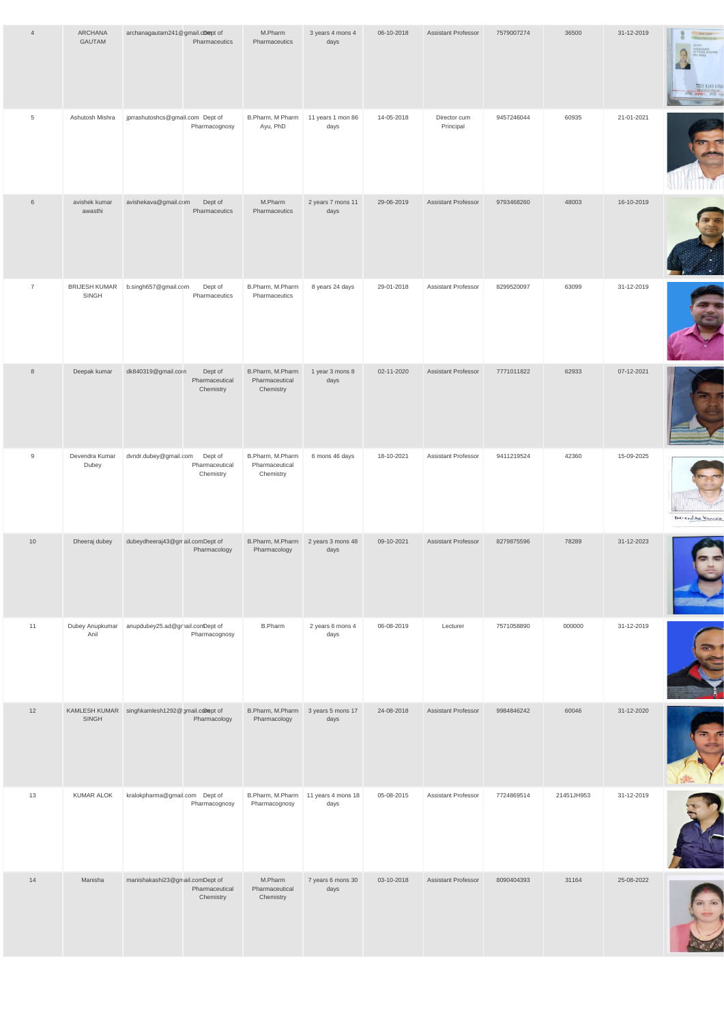| $\overline{4}$  | ARCHANA<br>GAUTAM             | archanagautam241@gmail.cDmept of               | Pharmaceutics                          | M.Pharm<br>Pharmaceutics                        | 3 years 4 mons 4<br>days  | 06-10-2018 | <b>Assistant Professor</b> | 7579007274 | 36500  | 31-12-2019 | <b>LA MEDIAN CO</b><br>I THEODA (ILVINERA)<br>In Minhael<br>7332 8145 5799<br>मेरा आधार, मेरी यह<br>- |
|-----------------|-------------------------------|------------------------------------------------|----------------------------------------|-------------------------------------------------|---------------------------|------------|----------------------------|------------|--------|------------|-------------------------------------------------------------------------------------------------------|
| $5\phantom{.0}$ | Ashutosh Mishra               | jprrashutoshcs@gmail.com Dept of               | Pharmacognosy                          | B.Pharm, M Pharm<br>Ayu, PhD                    | 11 years 1 mon 86<br>days | 14-05-2018 | Director cum<br>Principal  | 9457246044 | 60935  | 21-01-2021 |                                                                                                       |
| $6\phantom{.}6$ | avishek kumar<br>awasthi      | avishekava@gmail.com                           | Dept of<br>Pharmaceutics               | M.Pharm<br>Pharmaceutics                        | 2 years 7 mons 11<br>days | 29-06-2019 | <b>Assistant Professor</b> | 9793468260 | 48003  | 16-10-2019 |                                                                                                       |
| $\overline{7}$  | <b>BRIJESH KUMAR</b><br>SINGH | b.singh657@gmail.com                           | Dept of<br>Pharmaceutics               | B.Pharm, M.Pharm<br>Pharmaceutics               | 8 years 24 days           | 29-01-2018 | <b>Assistant Professor</b> | 8299520097 | 63099  | 31-12-2019 |                                                                                                       |
| $8\phantom{1}$  | Deepak kumar                  | dk840319@gmail.com                             | Dept of<br>Pharmaceutical<br>Chemistry | B.Pharm, M.Pharm<br>Pharmaceutical<br>Chemistry | 1 year 3 mons 8<br>days   | 02-11-2020 | <b>Assistant Professor</b> | 7771011822 | 62933  | 07-12-2021 |                                                                                                       |
| 9               | Devendra Kumar<br>Dubey       | dvndr.dubey@gmail.com                          | Dept of<br>Pharmaceutical<br>Chemistry | B.Pharm, M.Pharm<br>Pharmaceutical<br>Chemistry | 6 mons 46 days            | 18-10-2021 | Assistant Professor        | 9411219524 | 42360  | 15-09-2025 | Devendere Kuma                                                                                        |
| 10              | Dheeraj dubey                 | dubeydheeraj43@gmail.comDept of                | Pharmacology                           | B.Pharm, M.Pharm<br>Pharmacology                | 2 years 3 mons 48<br>days | 09-10-2021 | <b>Assistant Professor</b> | 8279875596 | 78289  | 31-12-2023 |                                                                                                       |
| 11              | Dubey Anupkumar<br>Anil       | anupdubey25.ad@grnail.comDept of               | Pharmacognosy                          | <b>B.Pharm</b>                                  | 2 years 6 mons 4<br>days  | 06-08-2019 | Lecturer                   | 7571058890 | 000000 | 31-12-2019 |                                                                                                       |
| 12              | SINGH                         | KAMLESH KUMAR singhkamlesh1292@gmail.comept of | Pharmacology                           | B.Pharm, M.Pharm<br>Pharmacology                | 3 years 5 mons 17<br>days | 24-08-2018 | <b>Assistant Professor</b> | 9984846242 | 60046  | 31-12-2020 |                                                                                                       |

| 13 | <b>KUMAR ALOK</b> | kralokpharma@gmail.com Dept of  | Pharmacognosy               | Pharmacognosy                          | B.Pharm, M.Pharm 11 years 4 mons 18<br>days | 05-08-2015 | Assistant Professor        | 7724869514 | 21451JH953 | 31-12-2019 |                                         |
|----|-------------------|---------------------------------|-----------------------------|----------------------------------------|---------------------------------------------|------------|----------------------------|------------|------------|------------|-----------------------------------------|
| 14 | Manisha           | manishakashi23@gmail.comDept of | Pharmaceutical<br>Chemistry | M.Pharm<br>Pharmaceutical<br>Chemistry | 7 years 6 mons 30<br>days                   | 03-10-2018 | <b>Assistant Professor</b> | 8090404393 | 31164      | 25-08-2022 | $\overline{\alpha}$ $\overline{\alpha}$ |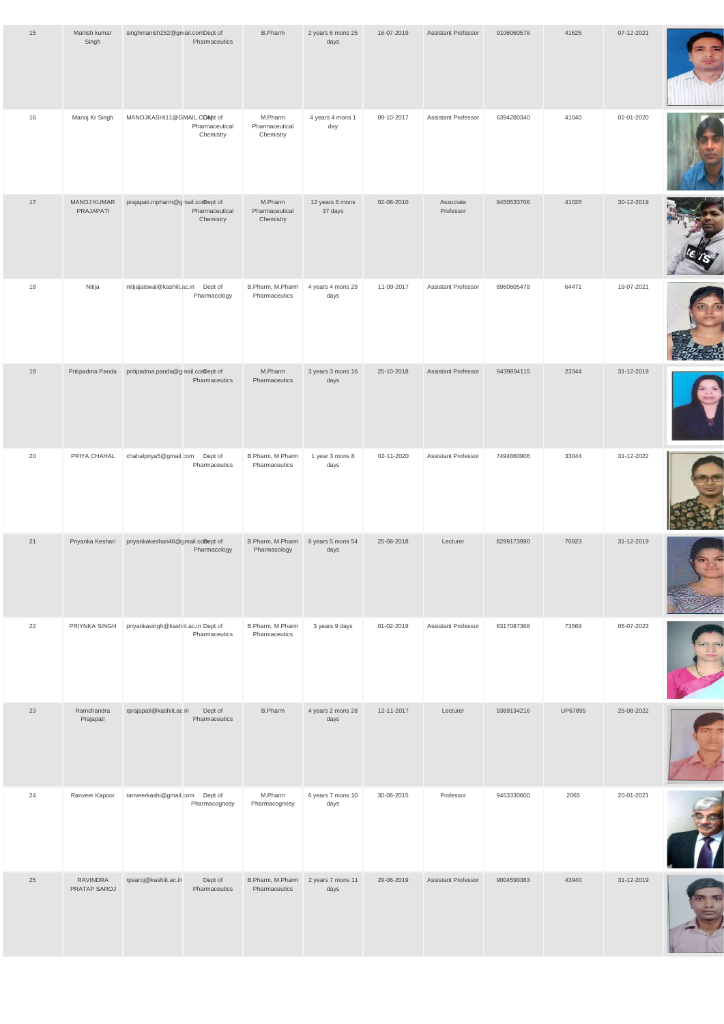| 15 | Manish kumar<br>Singh           | singhmanish252@gmail.comDept of     | Pharmaceutics               | <b>B.Pharm</b>                         | 2 years 6 mons 25<br>days  | 16-07-2019 | <b>Assistant Professor</b> | 9106060578 | 41625   | 07-12-2021 |  |
|----|---------------------------------|-------------------------------------|-----------------------------|----------------------------------------|----------------------------|------------|----------------------------|------------|---------|------------|--|
| 16 | Manoj Kr Singh                  | MANOJKASHI11@GMAIL.CD&pt of         | Pharmaceutical<br>Chemistry | M.Pharm<br>Pharmaceutical<br>Chemistry | 4 years 4 mons 1<br>day    | 09-10-2017 | Assistant Professor        | 6394280340 | 41040   | 02-01-2020 |  |
| 17 | <b>MANOJ KUMAR</b><br>PRAJAPATI | prajapati.mpharm@gmail.corDept of   | Pharmaceutical<br>Chemistry | M.Pharm<br>Pharmaceutical<br>Chemistry | 12 years 6 mons<br>37 days | 02-08-2010 | Associate<br>Professor     | 9450533706 | 41026   | 30-12-2019 |  |
| 18 | Nitija                          | nitijajaiswal@kashiit.ac.in Dept of | Pharmacology                | B.Pharm, M.Pharm<br>Pharmaceutics      | 4 years 4 mons 29<br>days  | 11-09-2017 | Assistant Professor        | 8960605478 | 64471   | 19-07-2021 |  |
| 19 | Pritipadma Panda                | pritipadma.panda@gmail.corDept of   | Pharmaceutics               | M.Pharm<br>Pharmaceutics               | 3 years 3 mons 16<br>days  | 25-10-2018 | <b>Assistant Professor</b> | 9439894115 | 23344   | 31-12-2019 |  |
| 20 | PRIYA CHAHAL                    | chahalpriya5@gmail.com Dept of      | Pharmaceutics               | B.Pharm, M.Pharm<br>Pharmaceutics      | 1 year 3 mons 8<br>days    | 02-11-2020 | Assistant Professor        | 7494860906 | 33044   | 31-12-2022 |  |
| 21 | Priyanka Keshari                | priyankakeshari46@gmail.comept of   | Pharmacology                | B.Pharm, M.Pharm<br>Pharmacology       | 8 years 5 mons 54<br>days  | 25-08-2018 | Lecturer                   | 8299173990 | 76923   | 31-12-2019 |  |
| 22 | PRIYNKA SINGH                   | priyankasingh@kashiit.ac.in Dept of | Pharmaceutics               | B.Pharm, M.Pharm<br>Pharmaceutics      | 3 years 9 days             | 01-02-2019 | Assistant Professor        | 8317087368 | 73569   | 05-07-2023 |  |
| 23 | Ramchandra<br>Prajapati         | rprajapati@kashiit.ac.in            | Dept of<br>Pharmaceutics    | <b>B.Pharm</b>                         | 4 years 2 mons 28<br>days  | 12-11-2017 | Lecturer                   | 9369134216 | UP67895 | 25-08-2022 |  |

| 24 | Ranveer Kapoor           | ranveerkashi@gmail.com | Dept of<br>Pharmacognosy | M.Pharm<br>Pharmacognosy                            | 6 years 7 mons 10<br>days | 30-06-2015 | Professor                  | 9453330600 | 2065  | 20-01-2021 |  |
|----|--------------------------|------------------------|--------------------------|-----------------------------------------------------|---------------------------|------------|----------------------------|------------|-------|------------|--|
|    |                          |                        |                          |                                                     |                           |            |                            |            |       |            |  |
| 25 | RAVINDRA<br>PRATAP SAROJ | rpsaroj@kashiit.ac.in  | Dept of<br>Pharmaceutics | B.Pharm, M.Pharm 2 years 7 mons 11<br>Pharmaceutics | days                      | 29-06-2019 | <b>Assistant Professor</b> | 9004590383 | 43940 | 31-12-2019 |  |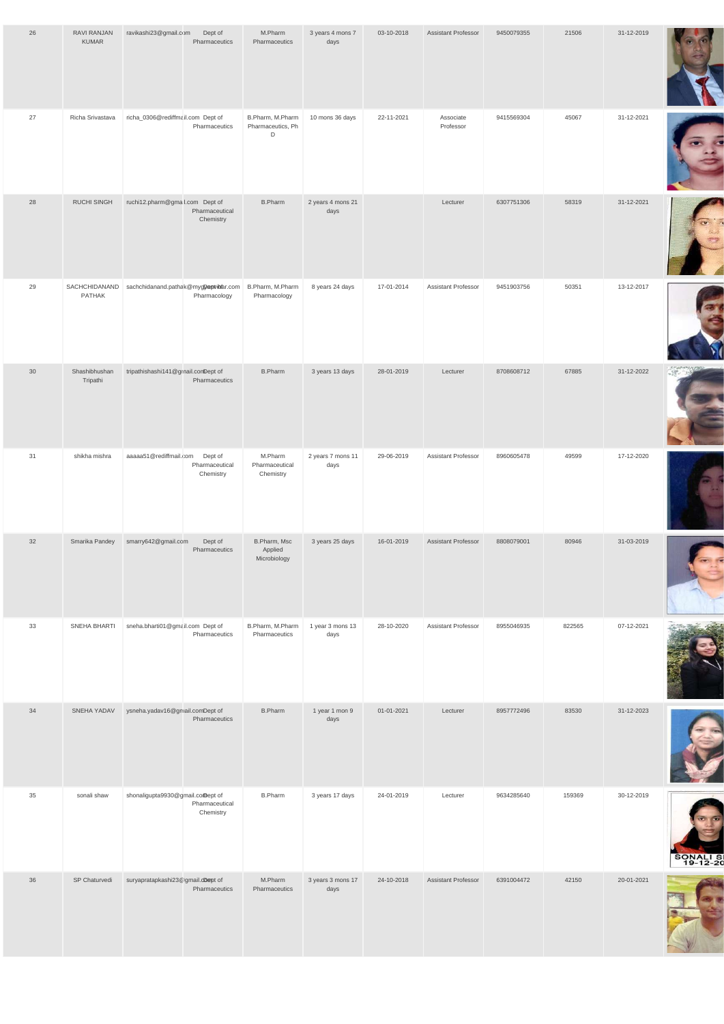| 26 | RAVI RANJAN<br><b>KUMAR</b> | ravikashi23@gmail.com                         | Dept of<br>Pharmaceutics               | M.Pharm<br>Pharmaceutics                   | 3 years 4 mons 7<br>days  | 03-10-2018 | Assistant Professor    | 9450079355 | 21506  | 31-12-2019 |           |
|----|-----------------------------|-----------------------------------------------|----------------------------------------|--------------------------------------------|---------------------------|------------|------------------------|------------|--------|------------|-----------|
| 27 | Richa Srivastava            | richa_0306@rediffmail.com Dept of             | Pharmaceutics                          | B.Pharm, M.Pharm<br>Pharmaceutics, Ph<br>D | 10 mons 36 days           | 22-11-2021 | Associate<br>Professor | 9415569304 | 45067  | 31-12-2021 |           |
| 28 | RUCHI SINGH                 | ruchi12.pharm@gmail.com Dept of               | Pharmaceutical<br>Chemistry            | <b>B.Pharm</b>                             | 2 years 4 mons 21<br>days |            | Lecturer               | 6307751306 | 58319  | 31-12-2021 |           |
| 29 | SACHCHIDANAND<br>PATHAK     | sachchidanand.pathak@myg <b>@aptiblar.com</b> | Pharmacology                           | B.Pharm, M.Pharm<br>Pharmacology           | 8 years 24 days           | 17-01-2014 | Assistant Professor    | 9451903756 | 50351  | 13-12-2017 |           |
| 30 | Shashibhushan<br>Tripathi   | tripathishashi141@grnail.comDept of           | Pharmaceutics                          | <b>B.Pharm</b>                             | 3 years 13 days           | 28-01-2019 | Lecturer               | 8708608712 | 67885  | 31-12-2022 | $-15 - 3$ |
| 31 | shikha mishra               | aaaaa51@rediffmail.com                        | Dept of<br>Pharmaceutical<br>Chemistry | M.Pharm<br>Pharmaceutical<br>Chemistry     | 2 years 7 mons 11<br>days | 29-06-2019 | Assistant Professor    | 8960605478 | 49599  | 17-12-2020 |           |
| 32 | Smarika Pandey              | smarry642@gmail.com                           | Dept of<br>Pharmaceutics               | B.Pharm, Msc<br>Applied<br>Microbiology    | 3 years 25 days           | 16-01-2019 | Assistant Professor    | 8808079001 | 80946  | 31-03-2019 |           |
| 33 | SNEHA BHARTI                | sneha.bharti01@gmail.com Dept of              | Pharmaceutics                          | B.Pharm, M.Pharm<br>Pharmaceutics          | 1 year 3 mons 13<br>days  | 28-10-2020 | Assistant Professor    | 8955046935 | 822565 | 07-12-2021 |           |
| 34 | SNEHA YADAV                 | ysneha.yadav16@gmail.comDept of               | Pharmaceutics                          | <b>B.Pharm</b>                             | 1 year 1 mon 9<br>days    | 01-01-2021 | Lecturer               | 8957772496 | 83530  | 31-12-2023 |           |





| 35 | sonali shaw   | shonaligupta9930@gmail.comept of  | Pharmaceutical<br>Chemistry | <b>B.Pharm</b>           | 3 years 17 days           | 24-01-2019 | Lecturer                   | 9634285640 | 159369 | 30-12-2019 | <b>SONALIS</b><br>19-12-20 |
|----|---------------|-----------------------------------|-----------------------------|--------------------------|---------------------------|------------|----------------------------|------------|--------|------------|----------------------------|
| 36 | SP Chaturvedi | suryapratapkashi23@gmail.dDept of | Pharmaceutics               | M.Pharm<br>Pharmaceutics | 3 years 3 mons 17<br>days | 24-10-2018 | <b>Assistant Professor</b> | 6391004472 | 42150  | 20-01-2021 |                            |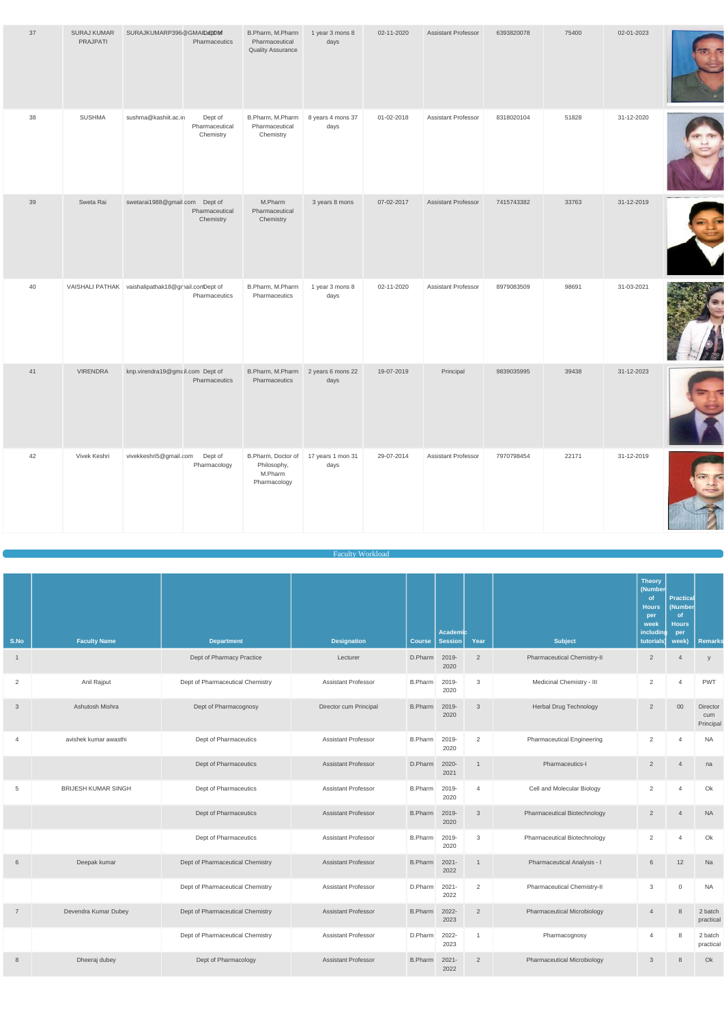| 37 | SURAJ KUMAR<br>PRAJPATI | SURAJKUMARP396@GMAID@ODM                           | Pharmaceutics                          | B.Pharm, M.Pharm<br>Pharmaceutical<br><b>Quality Assurance</b> | 1 year 3 mons 8<br>days   | 02-11-2020 | <b>Assistant Professor</b> | 6393820078 | 75400 | 02-01-2023 |  |
|----|-------------------------|----------------------------------------------------|----------------------------------------|----------------------------------------------------------------|---------------------------|------------|----------------------------|------------|-------|------------|--|
| 38 | SUSHMA                  | sushma@kashiit.ac.in                               | Dept of<br>Pharmaceutical<br>Chemistry | B.Pharm, M.Pharm<br>Pharmaceutical<br>Chemistry                | 8 years 4 mons 37<br>days | 01-02-2018 | <b>Assistant Professor</b> | 8318020104 | 51828 | 31-12-2020 |  |
| 39 | Sweta Rai               | swetarai1988@gmail.com Dept of                     | Pharmaceutical<br>Chemistry            | M.Pharm<br>Pharmaceutical<br>Chemistry                         | 3 years 8 mons            | 07-02-2017 | <b>Assistant Professor</b> | 7415743382 | 33763 | 31-12-2019 |  |
| 40 |                         | VAISHALI PATHAK vaishalipathak18@grnail.comDept of | Pharmaceutics                          | B.Pharm, M.Pharm<br>Pharmaceutics                              | 1 year 3 mons 8<br>days   | 02-11-2020 | Assistant Professor        | 8979083509 | 98691 | 31-03-2021 |  |
| 41 | <b>VIRENDRA</b>         | knp.virendra19@gmail.com Dept of                   | Pharmaceutics                          | B.Pharm, M.Pharm<br>Pharmaceutics                              | 2 years 6 mons 22<br>days | 19-07-2019 | Principal                  | 9839035995 | 39438 | 31-12-2023 |  |
| 42 | Vivek Keshri            | vivekkeshri5@gmail.com                             | Dept of<br>Pharmacology                | B.Pharm, Doctor of<br>Philosophy,<br>M.Pharm<br>Pharmacology   | 17 years 1 mon 31<br>days | 29-07-2014 | Assistant Professor        | 7970798454 | 22171 | 31-12-2019 |  |

Faculty Workload

| S.No           | <b>Faculty Name</b>        | <b>Department</b>                | <b>Designation</b>         | <b>Course</b>  | Academic<br><b>Session</b> | Year           | <b>Subject</b>                     | <b>Theory</b><br>(Number<br>of<br><b>Hours</b><br>per<br>week<br>includin<br>tutorials) | Practical<br>(Number<br><sub>of</sub><br><b>Hours</b><br>per<br>week) | <b>Remarks</b>                      |
|----------------|----------------------------|----------------------------------|----------------------------|----------------|----------------------------|----------------|------------------------------------|-----------------------------------------------------------------------------------------|-----------------------------------------------------------------------|-------------------------------------|
| -1             |                            | Dept of Pharmacy Practice        | Lecturer                   | D.Pharm        | 2019-<br>2020              | $\overline{2}$ | <b>Pharmaceutical Chemistry-II</b> | $\overline{2}$                                                                          | $\overline{4}$                                                        | y                                   |
| 2              | Anil Rajput                | Dept of Pharmaceutical Chemistry | <b>Assistant Professor</b> | <b>B.Pharm</b> | 2019-<br>2020              | 3              | Medicinal Chemistry - III          | $\overline{2}$                                                                          | $\overline{4}$                                                        | <b>PWT</b>                          |
| 3              | Ashutosh Mishra            | Dept of Pharmacognosy            | Director cum Principal     | <b>B.Pharm</b> | 2019-<br>2020              | $\mathbf{3}$   | Herbal Drug Technology             | $2^{\circ}$                                                                             | $00\,$                                                                | <b>Director</b><br>cum<br>Principal |
| $\overline{4}$ | avishek kumar awasthi      | Dept of Pharmaceutics            | <b>Assistant Professor</b> | <b>B.Pharm</b> | 2019-<br>2020              | 2              | <b>Pharmaceutical Engineering</b>  | 2                                                                                       | $\Delta$                                                              | <b>NA</b>                           |
|                |                            | Dept of Pharmaceutics            | <b>Assistant Professor</b> | D.Pharm        | 2020-<br>2021              | $\mathbf{1}$   | Pharmaceutics-I                    | $\overline{2}$                                                                          | $\overline{4}$                                                        | na                                  |
| 5              | <b>BRIJESH KUMAR SINGH</b> | Dept of Pharmaceutics            | <b>Assistant Professor</b> | B.Pharm        | 2019-<br>2020              | $\overline{4}$ | Cell and Molecular Biology         | $\overline{2}$                                                                          | $\overline{4}$                                                        | Ok                                  |
|                |                            | Dept of Pharmaceutics            | <b>Assistant Professor</b> | <b>B.Pharm</b> | 2019-<br>2020              | $\mathbf{3}$   | Pharmaceutical Biotechnology       | $\overline{2}$                                                                          | $\overline{4}$                                                        | <b>NA</b>                           |
|                |                            | Dept of Pharmaceutics            | <b>Assistant Professor</b> | <b>B.Pharm</b> | 2019-<br>2020              | 3              | Pharmaceutical Biotechnology       | $\overline{2}$                                                                          | $\overline{4}$                                                        | Ok                                  |
| $\,6\,$        | Deepak kumar               | Dept of Pharmaceutical Chemistry | <b>Assistant Professor</b> | <b>B.Pharm</b> | $2021 -$<br>2022           | $\mathbf{1}$   | Pharmaceutical Analysis - I        | 6                                                                                       | 12                                                                    | Na                                  |
|                |                            | Dept of Pharmaceutical Chemistry | <b>Assistant Professor</b> | D.Pharm        | 2021-<br>2022              | $\overline{2}$ | Pharmaceutical Chemistry-II        | 3                                                                                       | $\Omega$                                                              | <b>NA</b>                           |
| $\overline{7}$ | Devendra Kumar Dubey       | Dept of Pharmaceutical Chemistry | <b>Assistant Professor</b> | <b>B.Pharm</b> | 2022-<br>2023              | $\overline{2}$ | Pharmaceutical Microbiology        | $\overline{4}$                                                                          | 8                                                                     | 2 batch<br>practical                |
|                |                            | Dept of Pharmaceutical Chemistry | <b>Assistant Professor</b> | D.Pharm        | 2022-<br>2023              | $\overline{1}$ | Pharmacognosy                      | $\overline{4}$                                                                          | 8                                                                     | 2 batch<br>practical                |
| 8              | Dheeraj dubey              | Dept of Pharmacology             | <b>Assistant Professor</b> | <b>B.Pharm</b> | $2021 -$<br>2022           | $\overline{2}$ | Pharmaceutical Microbiology        | 3                                                                                       | 8                                                                     | Ok                                  |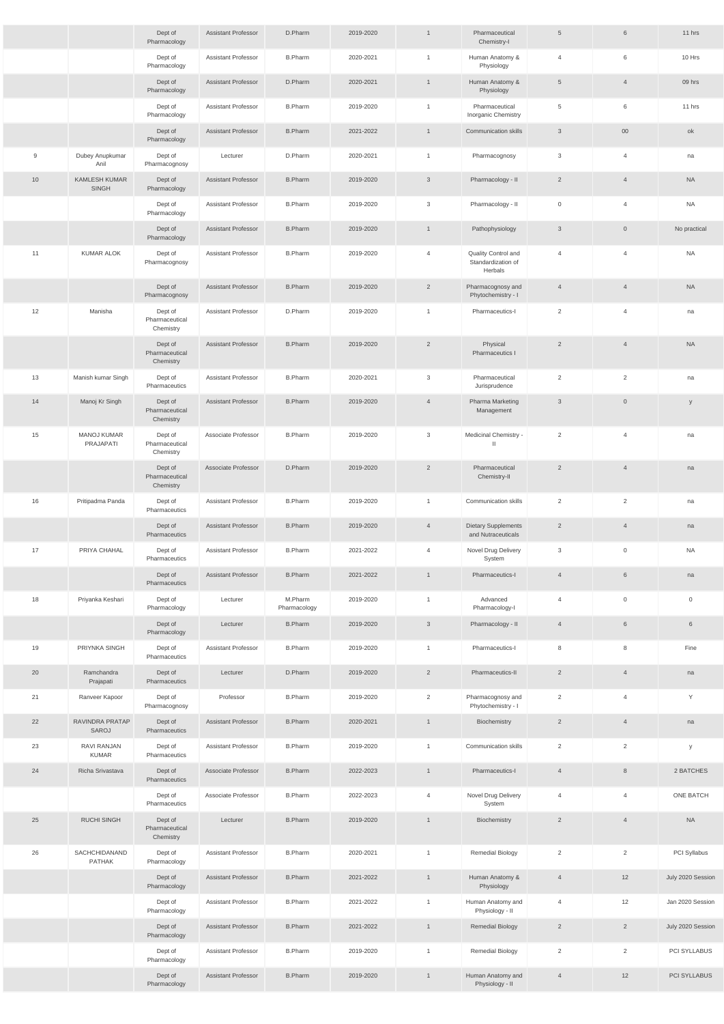|    |                                      | Dept of<br>Pharmacology                | <b>Assistant Professor</b> | D.Pharm                 | 2019-2020 | $\mathbf{1}$   | Pharmaceutical<br>Chemistry-I                        | $5\overline{)}$ | $6\phantom{1}$      | 11 hrs              |
|----|--------------------------------------|----------------------------------------|----------------------------|-------------------------|-----------|----------------|------------------------------------------------------|-----------------|---------------------|---------------------|
|    |                                      | Dept of<br>Pharmacology                | <b>Assistant Professor</b> | <b>B.Pharm</b>          | 2020-2021 | $\mathbf{1}$   | Human Anatomy &<br>Physiology                        | $\overline{4}$  | 6                   | 10 Hrs              |
|    |                                      | Dept of<br>Pharmacology                | <b>Assistant Professor</b> | D.Pharm                 | 2020-2021 | $\overline{1}$ | Human Anatomy &<br>Physiology                        | $5\phantom{.0}$ | $\overline{4}$      | 09 hrs              |
|    |                                      | Dept of<br>Pharmacology                | <b>Assistant Professor</b> | <b>B.Pharm</b>          | 2019-2020 | $\mathbf{1}$   | Pharmaceutical<br>Inorganic Chemistry                | 5               | 6                   | 11 hrs              |
|    |                                      | Dept of<br>Pharmacology                | <b>Assistant Professor</b> | <b>B.Pharm</b>          | 2021-2022 | $\mathbf{1}$   | <b>Communication skills</b>                          | $\mathbf{3}$    | $00\,$              | ok                  |
| 9  | Dubey Anupkumar<br>Anil              | Dept of<br>Pharmacognosy               | Lecturer                   | D.Pharm                 | 2020-2021 | $\mathbf{1}$   | Pharmacognosy                                        | $\mathbf{3}$    | $\overline{4}$      | na                  |
| 10 | <b>KAMLESH KUMAR</b><br><b>SINGH</b> | Dept of<br>Pharmacology                | <b>Assistant Professor</b> | <b>B.Pharm</b>          | 2019-2020 | $\mathbf{3}$   | Pharmacology - II                                    | $\overline{2}$  | $\overline{4}$      | <b>NA</b>           |
|    |                                      | Dept of<br>Pharmacology                | Assistant Professor        | <b>B.Pharm</b>          | 2019-2020 | 3              | Pharmacology - II                                    | $\overline{0}$  | $\overline{4}$      | <b>NA</b>           |
|    |                                      | Dept of<br>Pharmacology                | <b>Assistant Professor</b> | <b>B.Pharm</b>          | 2019-2020 | $\mathbf{1}$   | Pathophysiology                                      | $\mathbf{3}$    | $\mathsf{O}\xspace$ | No practical        |
| 11 | <b>KUMAR ALOK</b>                    | Dept of<br>Pharmacognosy               | Assistant Professor        | <b>B.Pharm</b>          | 2019-2020 | $\overline{4}$ | Quality Control and<br>Standardization of<br>Herbals | $\overline{4}$  | $\overline{4}$      | <b>NA</b>           |
|    |                                      | Dept of<br>Pharmacognosy               | <b>Assistant Professor</b> | <b>B.Pharm</b>          | 2019-2020 | $\overline{2}$ | Pharmacognosy and<br>Phytochemistry - I              | $\overline{4}$  | $\overline{4}$      | <b>NA</b>           |
| 12 | Manisha                              | Dept of<br>Pharmaceutical<br>Chemistry | <b>Assistant Professor</b> | D.Pharm                 | 2019-2020 | $\mathbf{1}$   | Pharmaceutics-I                                      | 2               | $\overline{4}$      | na                  |
|    |                                      | Dept of<br>Pharmaceutical<br>Chemistry | <b>Assistant Professor</b> | <b>B.Pharm</b>          | 2019-2020 | $\overline{2}$ | Physical<br>Pharmaceutics I                          | $\overline{2}$  | $\overline{4}$      | <b>NA</b>           |
| 13 | Manish kumar Singh                   | Dept of<br>Pharmaceutics               | <b>Assistant Professor</b> | <b>B.Pharm</b>          | 2020-2021 | 3              | Pharmaceutical<br>Jurisprudence                      | 2               | $\overline{2}$      | na                  |
| 14 | Manoj Kr Singh                       | Dept of<br>Pharmaceutical<br>Chemistry | <b>Assistant Professor</b> | <b>B.Pharm</b>          | 2019-2020 | $\overline{4}$ | <b>Pharma Marketing</b><br>Management                | 3               | $\overline{0}$      | У                   |
| 15 | <b>MANOJ KUMAR</b><br>PRAJAPATI      | Dept of<br>Pharmaceutical<br>Chemistry | Associate Professor        | <b>B.Pharm</b>          | 2019-2020 | 3              | Medicinal Chemistry -<br>$\mathbf{H}$                | 2               | $\overline{4}$      | na                  |
|    |                                      | Dept of<br>Pharmaceutical<br>Chemistry | Associate Professor        | D.Pharm                 | 2019-2020 | $\overline{2}$ | Pharmaceutical<br>Chemistry-II                       | $\overline{2}$  | $\overline{4}$      | na                  |
| 16 | Pritipadma Panda                     | Dept of<br>Pharmaceutics               | <b>Assistant Professor</b> | <b>B.Pharm</b>          | 2019-2020 | $\mathbf{1}$   | <b>Communication skills</b>                          | 2               | 2                   | na                  |
|    |                                      | Dept of<br>Pharmaceutics               | <b>Assistant Professor</b> | <b>B.Pharm</b>          | 2019-2020 | $\overline{4}$ | <b>Dietary Supplements</b><br>and Nutraceuticals     | $\overline{2}$  | $\overline{4}$      | na                  |
| 17 | PRIYA CHAHAL                         | Dept of<br>Pharmaceutics               | Assistant Professor        | <b>B.Pharm</b>          | 2021-2022 | $\overline{4}$ | Novel Drug Delivery<br>System                        | $\mathbf{3}$    | $\overline{0}$      | <b>NA</b>           |
|    |                                      | Dept of<br>Pharmaceutics               | <b>Assistant Professor</b> | <b>B.Pharm</b>          | 2021-2022 | $\mathbf{1}$   | Pharmaceutics-I                                      | $\overline{4}$  | $6\phantom{1}$      | na                  |
| 18 | Priyanka Keshari                     | Dept of<br>Pharmacology                | Lecturer                   | M.Pharm<br>Pharmacology | 2019-2020 | $\mathbf{1}$   | Advanced<br>Pharmacology-I                           | $\overline{4}$  | $\mathbf 0$         | $\mathsf{O}\xspace$ |
|    |                                      | Dept of<br>Pharmacology                | Lecturer                   | <b>B.Pharm</b>          | 2019-2020 | $\mathbf{3}$   | Pharmacology - II                                    | $\overline{4}$  | $6\,$               | $6\phantom{.}6$     |
| 19 | PRIYNKA SINGH                        | Dept of<br>Pharmaceutics               | <b>Assistant Professor</b> | <b>B.Pharm</b>          | 2019-2020 | $\mathbf{1}$   | Pharmaceutics-I                                      | 8               | 8                   | Fine                |
| 20 | Ramchandra<br>Prajapati              | Dept of<br>Pharmaceutics               | Lecturer                   | D.Pharm                 | 2019-2020 | $\overline{2}$ | Pharmaceutics-II                                     | $\overline{2}$  | $\overline{4}$      | na                  |
| 21 | Ranveer Kapoor                       | Dept of<br>Pharmacognosy               | Professor                  | <b>B.Pharm</b>          | 2019-2020 | $\overline{2}$ | Pharmacognosy and<br>Phytochemistry - I              | 2               | $\overline{4}$      | Y                   |
| 22 | RAVINDRA PRATAP<br>SAROJ             | Dept of<br>Pharmaceutics               | <b>Assistant Professor</b> | <b>B.Pharm</b>          | 2020-2021 | $\mathbf{1}$   | Biochemistry                                         | $\overline{2}$  | $\overline{4}$      | na                  |
| 23 | RAVI RANJAN<br>KUMAR                 | Dept of<br>Pharmaceutics               | Assistant Professor        | <b>B.Pharm</b>          | 2019-2020 | $\mathbf{1}$   | <b>Communication skills</b>                          | 2               | 2                   | У                   |
| 24 | Richa Srivastava                     | Dept of<br>Pharmaceutics               | Associate Professor        | <b>B.Pharm</b>          | 2022-2023 | $\mathbf{1}$   | Pharmaceutics-I                                      | $\overline{4}$  | 8                   | 2 BATCHES           |
|    |                                      | Dept of<br>Pharmaceutics               | Associate Professor        | <b>B.Pharm</b>          | 2022-2023 | $\overline{4}$ | Novel Drug Delivery<br>System                        | $\overline{4}$  | $\overline{4}$      | ONE BATCH           |
| 25 | RUCHI SINGH                          | Dept of<br>Pharmaceutical<br>Chemistry | Lecturer                   | <b>B.Pharm</b>          | 2019-2020 | $\overline{1}$ | Biochemistry                                         | $\overline{2}$  | $\overline{4}$      | <b>NA</b>           |
| 26 | SACHCHIDANAND<br>PATHAK              | Dept of<br>Pharmacology                | <b>Assistant Professor</b> | <b>B.Pharm</b>          | 2020-2021 | $\mathbf{1}$   | <b>Remedial Biology</b>                              | 2               | 2                   | PCI Syllabus        |
|    |                                      | Dept of<br>Pharmacology                | <b>Assistant Professor</b> | <b>B.Pharm</b>          | 2021-2022 | $\mathbf{1}$   | Human Anatomy &<br>Physiology                        | $\overline{4}$  | 12                  | July 2020 Session   |
|    |                                      | Dept of<br>Pharmacology                | <b>Assistant Professor</b> | <b>B.Pharm</b>          | 2021-2022 | $\mathbf{1}$   | Human Anatomy and<br>Physiology - II                 | $\overline{4}$  | 12                  | Jan 2020 Session    |
|    |                                      | Dept of<br>Pharmacology                | <b>Assistant Professor</b> | <b>B.Pharm</b>          | 2021-2022 | $\mathbf{1}$   | <b>Remedial Biology</b>                              | $\overline{2}$  | $\overline{2}$      | July 2020 Session   |
|    |                                      | Dept of<br>Pharmacology                | <b>Assistant Professor</b> | <b>B.Pharm</b>          | 2019-2020 | $\mathbf{1}$   | <b>Remedial Biology</b>                              | 2               | 2                   | PCI SYLLABUS        |
|    |                                      | Dept of<br>Pharmacology                | <b>Assistant Professor</b> | <b>B.Pharm</b>          | 2019-2020 | $\mathbf{1}$   | Human Anatomy and<br>Physiology - II                 | $\overline{4}$  | 12                  | PCI SYLLABUS        |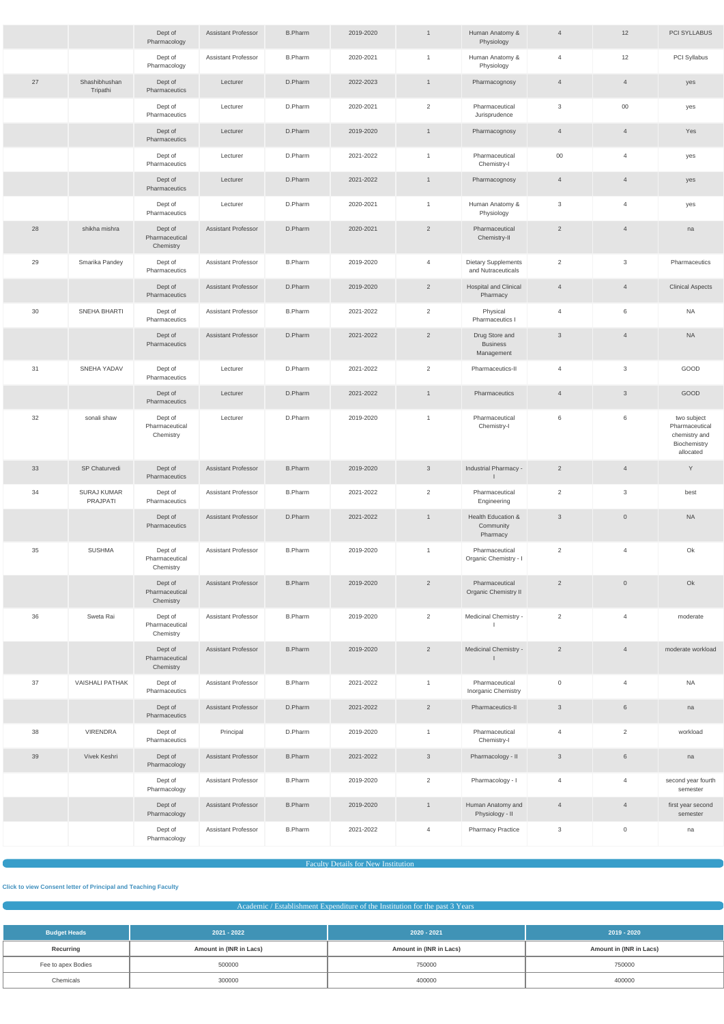|    |                           | Dept of<br>Pharmacology                | Assistant Professor        | <b>B.Pharm</b> | 2019-2020 | $\mathbf{1}$   | Human Anatomy &<br>Physiology                    | $\overline{4}$ | 12             | PCI SYLLABUS                                                                |
|----|---------------------------|----------------------------------------|----------------------------|----------------|-----------|----------------|--------------------------------------------------|----------------|----------------|-----------------------------------------------------------------------------|
|    |                           | Dept of<br>Pharmacology                | Assistant Professor        | <b>B.Pharm</b> | 2020-2021 | $\mathbf{1}$   | Human Anatomy &<br>Physiology                    | $\overline{4}$ | 12             | PCI Syllabus                                                                |
| 27 | Shashibhushan<br>Tripathi | Dept of<br>Pharmaceutics               | Lecturer                   | D.Pharm        | 2022-2023 | $\mathbf{1}$   | Pharmacognosy                                    | $\overline{4}$ | $\overline{4}$ | yes                                                                         |
|    |                           | Dept of<br>Pharmaceutics               | Lecturer                   | D.Pharm        | 2020-2021 | 2              | Pharmaceutical<br>Jurisprudence                  | 3              | $00\,$         | yes                                                                         |
|    |                           | Dept of<br>Pharmaceutics               | Lecturer                   | D.Pharm        | 2019-2020 | $\mathbf{1}$   | Pharmacognosy                                    | $\overline{4}$ | $\overline{4}$ | Yes                                                                         |
|    |                           | Dept of<br>Pharmaceutics               | Lecturer                   | D.Pharm        | 2021-2022 | $\mathbf{1}$   | Pharmaceutical<br>Chemistry-I                    | $00\,$         | $\overline{4}$ | yes                                                                         |
|    |                           | Dept of<br>Pharmaceutics               | Lecturer                   | D.Pharm        | 2021-2022 | $\overline{1}$ | Pharmacognosy                                    | $\overline{4}$ | $\overline{4}$ | yes                                                                         |
|    |                           | Dept of<br>Pharmaceutics               | Lecturer                   | D.Pharm        | 2020-2021 | $\mathbf{1}$   | Human Anatomy &<br>Physiology                    | 3              | $\overline{4}$ | yes                                                                         |
| 28 | shikha mishra             | Dept of<br>Pharmaceutical<br>Chemistry | <b>Assistant Professor</b> | D.Pharm        | 2020-2021 | $\overline{2}$ | Pharmaceutical<br>Chemistry-II                   | $\overline{2}$ | $\overline{4}$ | na                                                                          |
| 29 | Smarika Pandey            | Dept of<br>Pharmaceutics               | Assistant Professor        | <b>B.Pharm</b> | 2019-2020 | $\overline{4}$ | <b>Dietary Supplements</b><br>and Nutraceuticals | $\overline{2}$ | 3              | Pharmaceutics                                                               |
|    |                           | Dept of<br>Pharmaceutics               | <b>Assistant Professor</b> | D.Pharm        | 2019-2020 | $\overline{2}$ | <b>Hospital and Clinical</b><br>Pharmacy         | $\overline{4}$ | $\overline{4}$ | <b>Clinical Aspects</b>                                                     |
| 30 | SNEHA BHARTI              | Dept of<br>Pharmaceutics               | Assistant Professor        | <b>B.Pharm</b> | 2021-2022 | 2              | Physical<br>Pharmaceutics I                      | $\overline{4}$ | 6              | <b>NA</b>                                                                   |
|    |                           | Dept of<br>Pharmaceutics               | <b>Assistant Professor</b> | D.Pharm        | 2021-2022 | $\overline{2}$ | Drug Store and<br><b>Business</b><br>Management  | $\mathbf{3}$   | $\overline{4}$ | <b>NA</b>                                                                   |
| 31 | SNEHA YADAV               | Dept of<br>Pharmaceutics               | Lecturer                   | D.Pharm        | 2021-2022 | 2              | Pharmaceutics-II                                 | $\overline{4}$ | 3              | GOOD                                                                        |
|    |                           | Dept of<br>Pharmaceutics               | Lecturer                   | D.Pharm        | 2021-2022 | $\mathbf{1}$   | Pharmaceutics                                    | $\overline{4}$ | 3              | GOOD                                                                        |
| 32 | sonali shaw               | Dept of<br>Pharmaceutical<br>Chemistry | Lecturer                   | D.Pharm        | 2019-2020 | $\mathbf{1}$   | Pharmaceutical<br>Chemistry-I                    | 6              | 6              | two subject<br>Pharmaceutical<br>chemistry and<br>Biochemistry<br>allocated |
| 33 | SP Chaturvedi             | Dept of<br>Pharmaceutics               | Assistant Professor        | <b>B.Pharm</b> | 2019-2020 | $\mathbf{3}$   | Industrial Pharmacy -                            | $\overline{2}$ | $\overline{4}$ | Y                                                                           |
| 34 | SURAJ KUMAR<br>PRAJPATI   | Dept of<br>Pharmaceutics               | Assistant Professor        | <b>B.Pharm</b> | 2021-2022 | 2              | Pharmaceutical<br>Engineering                    | $\overline{2}$ | $\mathbf{3}$   | best                                                                        |
|    |                           | Dept of<br>Pharmaceutics               | <b>Assistant Professor</b> | D.Pharm        | 2021-2022 | $\mathbf{1}$   | Health Education &<br>Community<br>Pharmacy      | $\mathbf{3}$   | $\overline{0}$ | <b>NA</b>                                                                   |
| 35 | SUSHMA                    | Dept of<br>Pharmaceutical<br>Chemistry | Assistant Professor        | <b>B.Pharm</b> | 2019-2020 | $\mathbf{1}$   | Pharmaceutical<br>Organic Chemistry - I          | $\overline{2}$ | $\overline{4}$ | Ok                                                                          |
|    |                           | Dept of<br>Pharmaceutical<br>Chemistry | <b>Assistant Professor</b> | <b>B.Pharm</b> | 2019-2020 | $\overline{2}$ | Pharmaceutical<br><b>Organic Chemistry II</b>    | $\overline{2}$ | $\overline{0}$ | Ok                                                                          |
| 36 | Sweta Rai                 | Dept of<br>Pharmaceutical<br>Chemistry | Assistant Professor        | <b>B.Pharm</b> | 2019-2020 | 2              | Medicinal Chemistry -                            | $\overline{2}$ | $\overline{4}$ | moderate                                                                    |
|    |                           | Dept of<br>Pharmaceutical<br>Chemistry | Assistant Professor        | <b>B.Pharm</b> | 2019-2020 | $\overline{2}$ | Medicinal Chemistry -                            | $\overline{2}$ | $\overline{4}$ | moderate workload                                                           |
| 37 | <b>VAISHALI PATHAK</b>    | Dept of<br>Pharmaceutics               | Assistant Professor        | <b>B.Pharm</b> | 2021-2022 | $\mathbf{1}$   | Pharmaceutical<br>Inorganic Chemistry            | $\overline{0}$ | $\overline{4}$ | <b>NA</b>                                                                   |
|    |                           | Dept of<br>Pharmaceutics               | <b>Assistant Professor</b> | D.Pharm        | 2021-2022 | $\overline{2}$ | Pharmaceutics-II                                 | $\mathbf{3}$   | 6              | na                                                                          |
| 38 | <b>VIRENDRA</b>           | Dept of<br>Pharmaceutics               | Principal                  | D.Pharm        | 2019-2020 | $\overline{1}$ | Pharmaceutical<br>Chemistry-I                    | $\overline{4}$ | $\overline{2}$ | workload                                                                    |
| 39 | Vivek Keshri              | Dept of<br>Pharmacology                | <b>Assistant Professor</b> | <b>B.Pharm</b> | 2021-2022 | $\mathbf{3}$   | Pharmacology - II                                | $\mathbf{3}$   | 6              | na                                                                          |

| 39 | Vivek Keshri | Dept of<br>Pharmacology | <b>Assistant Professor</b> | <b>B.Pharm</b> | 2021-2022 | $\Omega$<br>J.     | Pharmacology - II                    | 3           | na                             |
|----|--------------|-------------------------|----------------------------|----------------|-----------|--------------------|--------------------------------------|-------------|--------------------------------|
|    |              | Dept of<br>Pharmacology | <b>Assistant Professor</b> | <b>B.Pharm</b> | 2019-2020 | $\mathcal{D}$<br>∠ | Pharmacology - I                     |             | second year fourth<br>semester |
|    |              | Dept of<br>Pharmacology | <b>Assistant Professor</b> | <b>B.Pharm</b> | 2019-2020 |                    | Human Anatomy and<br>Physiology - II |             | first year second<br>semester  |
|    |              | Dept of<br>Pharmacology | <b>Assistant Professor</b> | <b>B.Pharm</b> | 2021-2022 | 4                  | <b>Pharmacy Practice</b>             | $\sim$<br>◡ | na                             |

Faculty Details for New Institution

**[Click to view Consent letter of Principal and Teaching Faculty](https://dgpm.nic.in/institute/getmongoPdfFile.do?renreceiptid=&tablename=newinstfacultydoc)**

Academic / Establishment Expenditure of the Institution for the past 3 Years

| <b>Budget Heads</b> | $2021 - 2022$           | $2020 - 2021$           | $2019 - 2020$           |
|---------------------|-------------------------|-------------------------|-------------------------|
| Recurring           | Amount in (INR in Lacs) | Amount in (INR in Lacs) | Amount in (INR in Lacs) |
| Fee to apex Bodies  | 500000                  | 750000                  | 750000                  |
| Chemicals           | 300000                  | 400000                  | 400000                  |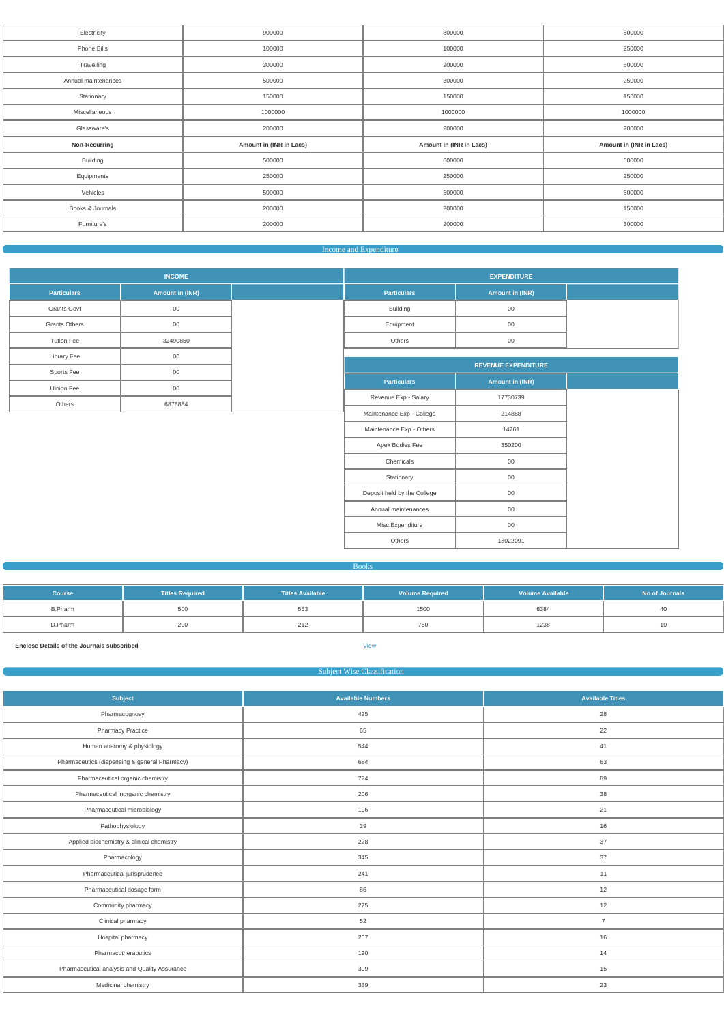| Electricity         | 900000                  | 800000                  | 800000                  |
|---------------------|-------------------------|-------------------------|-------------------------|
| Phone Bills         | 100000                  | 100000                  | 250000                  |
| Travelling          | 300000                  | 200000                  | 500000                  |
| Annual maintenances | 500000                  | 300000                  | 250000                  |
| Stationary          | 150000                  | 150000                  | 150000                  |
| Miscellaneous       | 1000000                 | 1000000                 | 1000000                 |
| Glassware's         | 200000                  | 200000                  | 200000                  |
| Non-Recurring       | Amount in (INR in Lacs) | Amount in (INR in Lacs) | Amount in (INR in Lacs) |
| Building            | 500000                  | 600000                  | 600000                  |
| Equipments          | 250000                  |                         |                         |
|                     |                         | 250000                  | 250000                  |
| Vehicles            | 500000                  | 500000                  | 500000                  |
| Books & Journals    | 200000                  | 200000                  | 150000                  |
| Furniture's         | 200000                  | 200000                  | 300000                  |

## **Income and Expenditure Income and Expenditure**

|                      | <b>INCOME</b>   |  |                             | <b>EXPENDITURE</b>         |
|----------------------|-----------------|--|-----------------------------|----------------------------|
| <b>Particulars</b>   | Amount in (INR) |  | <b>Particulars</b>          | Amount in (INR)            |
| <b>Grants Govt</b>   | $00\,$          |  | Building                    | $00\,$                     |
| <b>Grants Others</b> | $00\,$          |  |                             | $00\,$                     |
| <b>Tution Fee</b>    | 32490850        |  | Others                      | $00\,$                     |
| Library Fee          | $00\,$          |  |                             |                            |
| Sports Fee           | $00\,$          |  |                             | <b>REVENUE EXPENDITURE</b> |
| Uinion Fee           | $00\,$          |  | <b>Particulars</b>          | Amount in (INR)            |
| Others               | 6878884         |  | Revenue Exp - Salary        | 17730739                   |
|                      |                 |  | Maintenance Exp - College   | 214888                     |
|                      |                 |  | Maintenance Exp - Others    | 14761                      |
|                      |                 |  | Apex Bodies Fee             | 350200                     |
|                      |                 |  | Chemicals                   | $00\,$                     |
|                      |                 |  | Stationary                  | $00\,$                     |
|                      |                 |  | Deposit held by the College | $00\,$                     |
|                      |                 |  | Annual maintenances         | $00\,$                     |
|                      |                 |  | Misc.Expenditure            | $00\,$                     |
|                      |                 |  | Others                      | 18022091                   |

#### Books

| <b>Course</b>  | <b>Titles Required</b> |     | <b>Volume Required</b> | <b>Volume Available</b> | No of Journals |  |
|----------------|------------------------|-----|------------------------|-------------------------|----------------|--|
| <b>B.Pharm</b> | 500                    | 563 | 1500                   | 6384                    |                |  |
| D.Pharm        | 200                    | 212 | 750                    | 1238                    |                |  |

**Enclose Details of the Journals subscribed** [View](https://dgpm.nic.in/institute/getmongoPdfFile.do?renreceiptid=60a8444f-84c9-4855-ad88-8d47b5d2b0be&tablename=bookjournal)

Subject Wise Classification

| <b>Subject</b>                                | <b>Available Numbers</b> | <b>Available Titles</b> |
|-----------------------------------------------|--------------------------|-------------------------|
| Pharmacognosy                                 | 425                      | 28                      |
| <b>Pharmacy Practice</b>                      | 65                       | 22                      |
| Human anatomy & physiology                    | 544                      | 41                      |
| Pharmaceutics (dispensing & general Pharmacy) | 684                      | 63                      |
| Pharmaceutical organic chemistry              | 724                      | 89                      |
| Pharmaceutical inorganic chemistry            | 206                      | 38                      |
| Pharmaceutical microbiology                   | 196                      | 21                      |
| Pathophysiology                               | 39                       | 16                      |
| Applied biochemistry & clinical chemistry     | 228                      | 37                      |
| Pharmacology                                  | 345                      | 37                      |
| Pharmaceutical jurisprudence                  | 241                      | 11                      |
| Pharmaceutical dosage form                    | 86                       | 12                      |
| Community pharmacy                            | 275                      | 12                      |
| Clinical pharmacy                             | 52                       | $\overline{7}$          |
| Hospital pharmacy                             | 267                      | 16                      |
| Pharmacotheraputics                           | 120                      | 14                      |
| Pharmaceutical analysis and Quality Assurance | 309                      | 15                      |
| Medicinal chemistry                           | 339                      | 23                      |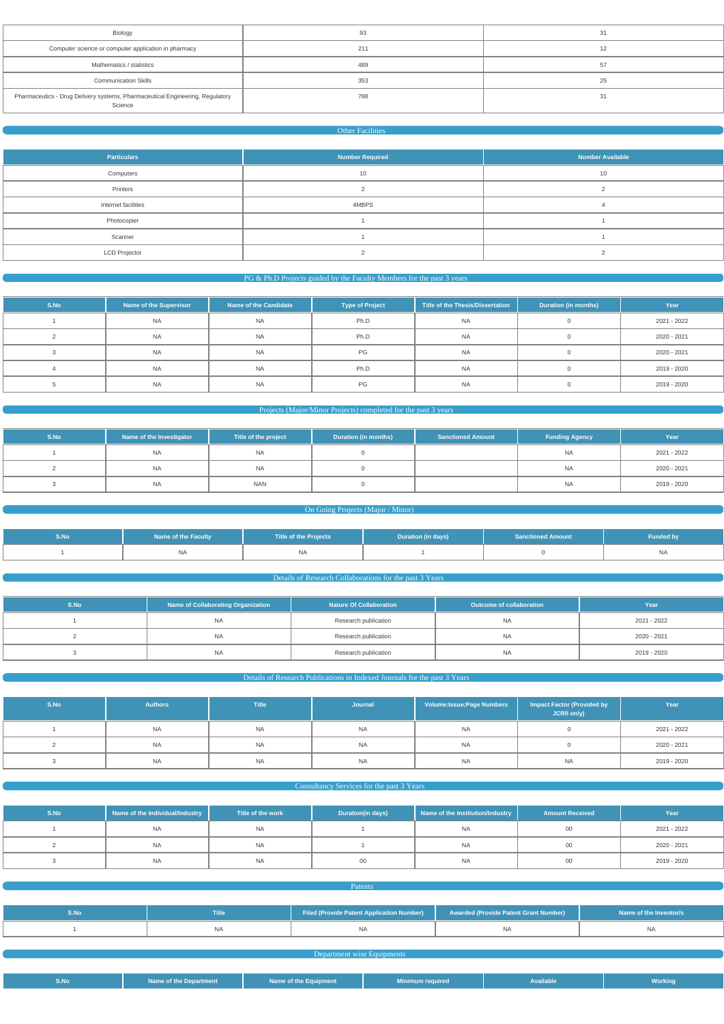| Biology                                                                                  | 93  | 31 |
|------------------------------------------------------------------------------------------|-----|----|
| Computer science or computer application in pharmacy                                     | 211 | 12 |
| Mathematics / statistics                                                                 | 489 | 57 |
| <b>Communication Skills</b>                                                              | 353 | 25 |
| Pharmaceutics - Drug Delivery systems, Pharmaceutical Engineering, Regulatory<br>Science | 788 | 31 |

## Other Facilities

| <b>Particulars</b>   | <b>Number Required</b> | <b>Number Available</b> |
|----------------------|------------------------|-------------------------|
| Computers            | 10                     | 10                      |
| Printers             |                        |                         |
| Internet facilities  | 4MBPS                  |                         |
| Photocopier          |                        |                         |
| Scanner              |                        |                         |
| <b>LCD Projector</b> |                        |                         |

# PG & Ph.D Projects guided by the Faculty Members for the past 3 years

| S.No | Name of the Supervisor | Name of the Candidate | <b>Type of Project</b> | Title of the Thesis/Dissertation | Duration (in months) | Year        |
|------|------------------------|-----------------------|------------------------|----------------------------------|----------------------|-------------|
|      | <b>NA</b>              | <b>NA</b>             | Ph.D                   | <b>NA</b>                        |                      | 2021 - 2022 |
|      | <b>NA</b>              | <b>NA</b>             | Ph.D                   | <b>NA</b>                        |                      | 2020 - 2021 |
|      | <b>NA</b>              | <b>NA</b>             | <b>PG</b>              | <b>NA</b>                        |                      | 2020 - 2021 |
|      | <b>NA</b>              | <b>NA</b>             | Ph.D                   | <b>NA</b>                        |                      | 2019 - 2020 |
|      | <b>NA</b>              | <b>NA</b>             | PG                     | <b>NA</b>                        |                      | 2019 - 2020 |

## Projects (Major/Minor Projects) completed for the past 3 years

| S.No | Name of the Investigator | Title of the project | <b>Duration (in months)</b> | <b>Sanctioned Amount</b> | <b>Funding Agency</b> | Year        |
|------|--------------------------|----------------------|-----------------------------|--------------------------|-----------------------|-------------|
|      | <b>NA</b>                | <b>NA</b>            |                             |                          | NA                    | 2021 - 2022 |
|      | <b>NA</b>                | <b>NA</b>            |                             |                          | <b>NA</b>             | 2020 - 2021 |
|      | <b>NA</b>                | <b>NAN</b>           |                             |                          | <b>NA</b>             | 2019 - 2020 |

## **On Going Projects (Major / Minor) Community On Going Projects (Major / Minor)**

| S.No | <b>Name of the Faculty</b> | <b>Title of the Projects</b> | <b>Duration (in days)</b> | <b>Sanctioned Amount</b> | <b>Funded by</b> |
|------|----------------------------|------------------------------|---------------------------|--------------------------|------------------|
|      | <b>NIA</b><br><b>IVH</b>   |                              |                           |                          | <b>NA</b>        |

# **Details of Research Collaborations for the past 3 Years**

| S.No | Name of Collaborating Organization | <b>Nature Of Collaboration</b> | Outcome of collaboration | Year        |
|------|------------------------------------|--------------------------------|--------------------------|-------------|
|      | NA                                 | Research publication           | <b>NA</b>                | 2021 - 2022 |
|      | NA                                 | Research publication           | <b>NA</b>                | 2020 - 2021 |
|      | ΝA                                 | Research publication           | <b>NA</b>                | 2019 - 2020 |

# **Details of Research Publications in Indexed Journals for the past 3 Years** and the past 3 Years and the past 3 Years

| S.No | <b>Authors</b> | <b>Title</b> | Journal   | Volume:Issue;Page Numbers | <b>Impact Factor (Provided by</b><br><b>JCRfi only)</b> | Year        |
|------|----------------|--------------|-----------|---------------------------|---------------------------------------------------------|-------------|
|      | <b>NA</b>      | <b>NA</b>    | <b>NA</b> | <b>NA</b>                 |                                                         | 2021 - 2022 |
|      | <b>NA</b>      | <b>NA</b>    | <b>NA</b> | <b>NA</b>                 |                                                         | 2020 - 2021 |
|      | <b>NA</b>      | <b>NA</b>    | <b>NA</b> | <b>NA</b>                 | NA                                                      | 2019 - 2020 |

| Consultancy Services for the past 3 Years |  |  |  |  |
|-------------------------------------------|--|--|--|--|
|-------------------------------------------|--|--|--|--|

| S.No | Name of the Individual/Industry | Title of the work | <b>Duration(in days)</b> | Name of the Institution/Industry | <b>Amount Received</b> | Year        |
|------|---------------------------------|-------------------|--------------------------|----------------------------------|------------------------|-------------|
|      | <b>NA</b>                       | <b>NA</b>         |                          | <b>NA</b>                        | UC.                    | 2021 - 2022 |
|      | <b>NA</b>                       | <b>NA</b>         |                          | <b>NA</b>                        | - OU                   | 2020 - 2021 |
|      | NA                              | <b>NA</b>         |                          | NA                               | - UU                   | 2019 - 2020 |

**Patents** 

| ).IVO | <b>Title</b> | <b>Filed (Provide Patent Application Number)</b> | <b>Awarded (Provide Patent Grant Number)</b> | Name of the Inventor/s |
|-------|--------------|--------------------------------------------------|----------------------------------------------|------------------------|
|       | ΝA           |                                                  | ΝA                                           |                        |

| Department wise Equipments |                               |                       |                         |                  |         |  |  |  |
|----------------------------|-------------------------------|-----------------------|-------------------------|------------------|---------|--|--|--|
| S.No                       | <b>Name of the Department</b> | Name of the Equipment | <b>Minimum required</b> | <b>Available</b> | Working |  |  |  |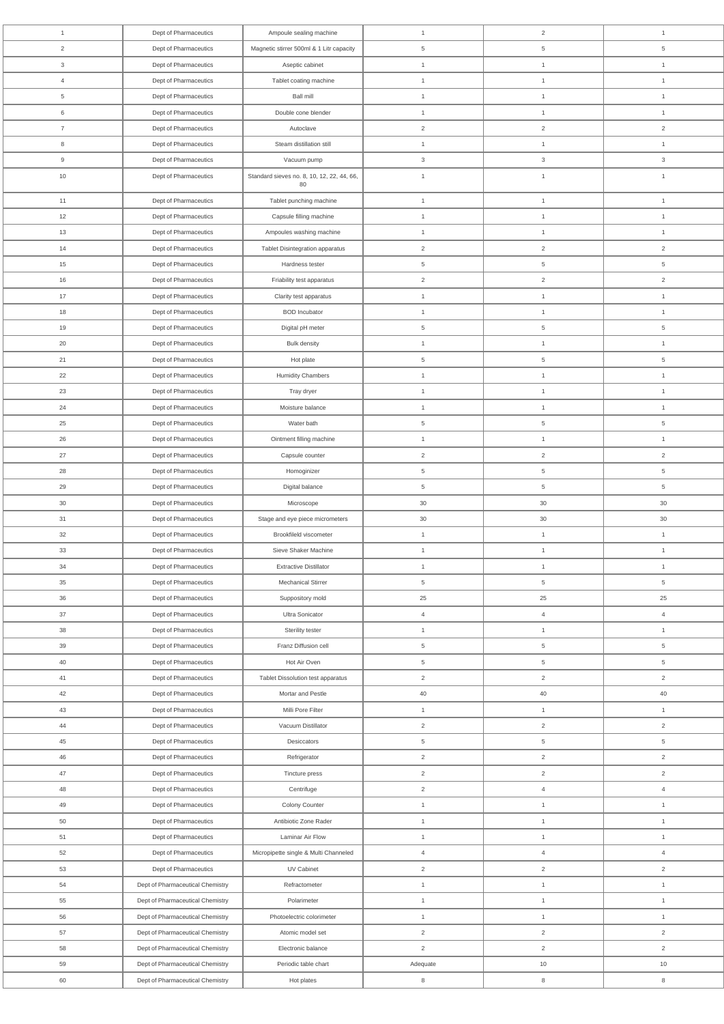| $\mathbf{1}$    | Dept of Pharmaceutics            | Ampoule sealing machine                    | $\mathbf{1}$    | $\overline{2}$  | $\mathbf{1}$    |
|-----------------|----------------------------------|--------------------------------------------|-----------------|-----------------|-----------------|
| 2               | Dept of Pharmaceutics            | Magnetic stirrer 500ml & 1 Litr capacity   | 5               | 5               | 5               |
| $\mathbf{3}$    | Dept of Pharmaceutics            | Aseptic cabinet                            | $\mathbf{1}$    | $\mathbf{1}$    | $\mathbf{1}$    |
| $\overline{4}$  | Dept of Pharmaceutics            | Tablet coating machine                     | $\overline{1}$  | $\mathbf{1}$    | $\mathbf{1}$    |
| 5               | Dept of Pharmaceutics            | <b>Ball mill</b>                           | $\overline{1}$  | $\mathbf{1}$    | $\overline{1}$  |
| $6\phantom{.0}$ | Dept of Pharmaceutics            | Double cone blender                        | $\overline{1}$  | $\mathbf{1}$    | $\overline{1}$  |
| $7\overline{ }$ | Dept of Pharmaceutics            | Autoclave                                  | $\overline{2}$  | $\overline{2}$  | $\overline{2}$  |
| 8               | Dept of Pharmaceutics            | Steam distillation still                   | $\overline{1}$  | $\mathbf{1}$    | $\mathbf{1}$    |
| 9               | Dept of Pharmaceutics            | Vacuum pump                                | $\mathbf{3}$    | $\mathbf{3}$    | $\mathbf{3}$    |
| 10              | Dept of Pharmaceutics            | Standard sieves no. 8, 10, 12, 22, 44, 66, | $\overline{1}$  | $\mathbf{1}$    | $\overline{1}$  |
|                 |                                  | 80                                         |                 |                 |                 |
| 11              | Dept of Pharmaceutics            | Tablet punching machine                    | $\mathbf{1}$    | $\mathbf{1}$    | $\mathbf{1}$    |
| 12              | Dept of Pharmaceutics            | Capsule filling machine                    | $\overline{1}$  | $\mathbf{1}$    | $\mathbf{1}$    |
| 13              | Dept of Pharmaceutics            | Ampoules washing machine                   | $\mathbf{1}$    | $\mathbf{1}$    | $\mathbf{1}$    |
| 14              | Dept of Pharmaceutics            | Tablet Disintegration apparatus            | $\overline{2}$  | $\overline{2}$  | $\overline{2}$  |
| 15              | Dept of Pharmaceutics            | Hardness tester                            | 5               | $5\phantom{.0}$ | 5               |
| 16              | Dept of Pharmaceutics            | Friability test apparatus                  | $\overline{2}$  | $\overline{2}$  | $\overline{2}$  |
| 17              | Dept of Pharmaceutics            | Clarity test apparatus                     | $\mathbf{1}$    | $\mathbf{1}$    | $\mathbf{1}$    |
| 18              | Dept of Pharmaceutics            | <b>BOD</b> Incubator                       | $\mathbf{1}$    | $\mathbf{1}$    | $\overline{1}$  |
| 19              | Dept of Pharmaceutics            | Digital pH meter                           | $\overline{5}$  | $5\phantom{.0}$ | $\overline{5}$  |
| 20              | Dept of Pharmaceutics            | <b>Bulk density</b>                        | $\mathbf{1}$    | $\mathbf{1}$    | $\mathbf{1}$    |
| 21              | Dept of Pharmaceutics            | Hot plate                                  | 5               | 5               | $\overline{5}$  |
| 22              | Dept of Pharmaceutics            | <b>Humidity Chambers</b>                   | $\mathbf{1}$    | $\mathbf{1}$    | $\mathbf{1}$    |
| 23              | Dept of Pharmaceutics            | Tray dryer                                 | $\overline{1}$  | $\mathbf{1}$    | $\mathbf{1}$    |
| 24              | Dept of Pharmaceutics            | Moisture balance                           | $\mathbf{1}$    | $\overline{1}$  | $\overline{1}$  |
| 25              | Dept of Pharmaceutics            | Water bath                                 | $\overline{5}$  | $5\phantom{.0}$ | $\overline{5}$  |
| 26              | Dept of Pharmaceutics            | Ointment filling machine                   | $\mathbf{1}$    | $\mathbf{1}$    | $\mathbf{1}$    |
| 27              | Dept of Pharmaceutics            | Capsule counter                            | $\overline{2}$  | $\overline{2}$  | $\overline{2}$  |
| 28              | Dept of Pharmaceutics            | Homoginizer                                | $5\phantom{.0}$ | $5\phantom{.0}$ | $\overline{5}$  |
| 29              | Dept of Pharmaceutics            | Digital balance                            | 5               | 5               | 5               |
| 30 <sup>°</sup> | Dept of Pharmaceutics            | Microscope                                 | 30              | 30              | 30              |
| 31              | Dept of Pharmaceutics            | Stage and eye piece micrometers            | 30              | $30\,$          | $30\,$          |
| 32              | Dept of Pharmaceutics            | Brookfileld viscometer                     | $\mathbf{1}$    | $\mathbf{1}$    | $\overline{1}$  |
| 33              | Dept of Pharmaceutics            | Sieve Shaker Machine                       | $\mathbf{1}$    | $\mathbf{1}$    | $\overline{1}$  |
| 34              | Dept of Pharmaceutics            | <b>Extractive Distillator</b>              | $\mathbf{1}$    | $\mathbf{1}$    | $\overline{1}$  |
| 35              | Dept of Pharmaceutics            | <b>Mechanical Stirrer</b>                  | $\overline{5}$  | $5\phantom{.0}$ | $\overline{5}$  |
| 36              | Dept of Pharmaceutics            | Suppository mold                           | 25              | 25              | 25              |
| 37              | Dept of Pharmaceutics            | Ultra Sonicator                            | $\overline{4}$  | $\overline{4}$  | $\overline{4}$  |
| 38              | Dept of Pharmaceutics            | Sterility tester                           | $\mathbf{1}$    | $\mathbf{1}$    | $\overline{1}$  |
| 39              | Dept of Pharmaceutics            | Franz Diffusion cell                       | 5               | $5\phantom{.0}$ | $\overline{5}$  |
| 40              | Dept of Pharmaceutics            | Hot Air Oven                               | $\overline{5}$  | $5\phantom{.0}$ | $\overline{5}$  |
| 41              | Dept of Pharmaceutics            | Tablet Dissolution test apparatus          | $\overline{2}$  | $\overline{2}$  | $\overline{2}$  |
| 42              | Dept of Pharmaceutics            | Mortar and Pestle                          | 40              | 40              | 40              |
| 43              | Dept of Pharmaceutics            | Milli Pore Filter                          | $\mathbf{1}$    | $\mathbf{1}$    | $\mathbf{1}$    |
| 44              | Dept of Pharmaceutics            | Vacuum Distillator                         | $\overline{2}$  | $\overline{2}$  | $\overline{2}$  |
| 45              | Dept of Pharmaceutics            | Desiccators                                | 5               | 5 <sup>5</sup>  | $5\phantom{.0}$ |
| 46              | Dept of Pharmaceutics            | Refrigerator                               | $\overline{2}$  | $\overline{2}$  | $\overline{2}$  |
| 47              | Dept of Pharmaceutics            | Tincture press                             | $\overline{2}$  | $\overline{2}$  | $\overline{2}$  |
| 48              | Dept of Pharmaceutics            | Centrifuge                                 | $\overline{c}$  | $\overline{4}$  | $\overline{4}$  |
| 49              | Dept of Pharmaceutics            | Colony Counter                             | $\mathbf{1}$    | $\mathbf{1}$    | $\mathbf{1}$    |
| 50              | Dept of Pharmaceutics            | Antibiotic Zone Rader                      | $\overline{1}$  | $\mathbf{1}$    | $\mathbf{1}$    |
| 51              | Dept of Pharmaceutics            | Laminar Air Flow                           | $\overline{1}$  | $\mathbf{1}$    | $\mathbf{1}$    |
| 52              | Dept of Pharmaceutics            | Micropipette single & Multi Channeled      | $\overline{4}$  | $\overline{4}$  | $\overline{4}$  |
| 53              | Dept of Pharmaceutics            | UV Cabinet                                 | $\overline{2}$  | $\overline{2}$  | $\overline{2}$  |
| 54              | Dept of Pharmaceutical Chemistry | Refractometer                              | $\mathbf{1}$    | $\mathbf{1}$    | $\mathbf{1}$    |
| 55              | Dept of Pharmaceutical Chemistry | Polarimeter                                | $\mathbf{1}$    | $\mathbf{1}$    | $\mathbf{1}$    |
| 56              | Dept of Pharmaceutical Chemistry | Photoelectric colorimeter                  | $\mathbf{1}$    | $\mathbf{1}$    | $\mathbf{1}$    |
| 57              | Dept of Pharmaceutical Chemistry | Atomic model set                           | $\overline{2}$  | $\overline{2}$  | $\overline{2}$  |
| 58              | Dept of Pharmaceutical Chemistry | Electronic balance                         | $\overline{2}$  | $\overline{2}$  | $\overline{2}$  |
| 59              | Dept of Pharmaceutical Chemistry | Periodic table chart                       | Adequate        | 10              | 10              |
| 60              | Dept of Pharmaceutical Chemistry | Hot plates                                 | $\,8\,$         | 8               | 8               |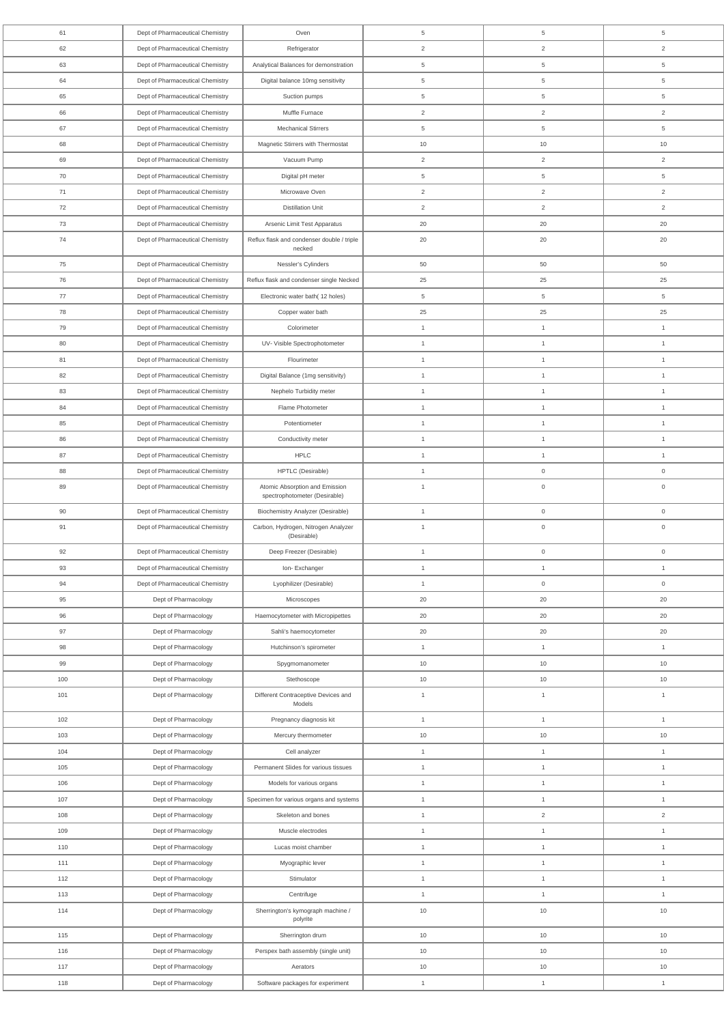| 61  | Dept of Pharmaceutical Chemistry | Oven                                               | 5              | 5              | 5              |
|-----|----------------------------------|----------------------------------------------------|----------------|----------------|----------------|
| 62  | Dept of Pharmaceutical Chemistry | Refrigerator                                       | $\overline{2}$ | $\overline{2}$ | $\overline{2}$ |
| 63  | Dept of Pharmaceutical Chemistry | Analytical Balances for demonstration              | 5              | 5              | 5              |
| 64  | Dept of Pharmaceutical Chemistry | Digital balance 10mg sensitivity                   | 5              | 5              | 5              |
| 65  | Dept of Pharmaceutical Chemistry | Suction pumps                                      | 5              | 5              | 5              |
| 66  | Dept of Pharmaceutical Chemistry | Muffle Furnace                                     | 2              | $\overline{2}$ | 2              |
| 67  | Dept of Pharmaceutical Chemistry | <b>Mechanical Stirrers</b>                         | 5              | 5              | 5              |
| 68  | Dept of Pharmaceutical Chemistry | Magnetic Stirrers with Thermostat                  | 10             | 10             | 10             |
| 69  | Dept of Pharmaceutical Chemistry | Vacuum Pump                                        | $\overline{2}$ | $\overline{2}$ | $\overline{2}$ |
| 70  | Dept of Pharmaceutical Chemistry | Digital pH meter                                   | 5              | 5              | 5              |
| 71  | Dept of Pharmaceutical Chemistry | Microwave Oven                                     | 2              | $\overline{2}$ | 2              |
| 72  | Dept of Pharmaceutical Chemistry | <b>Distillation Unit</b>                           | 2              | $\overline{2}$ | 2              |
| 73  | Dept of Pharmaceutical Chemistry | Arsenic Limit Test Apparatus                       | 20             | 20             | 20             |
| 74  | Dept of Pharmaceutical Chemistry | Reflux flask and condenser double / triple         | 20             | 20             | 20             |
|     |                                  | necked                                             |                |                |                |
| 75  | Dept of Pharmaceutical Chemistry | Nessler's Cylinders                                | 50             | 50             | 50             |
| 76  | Dept of Pharmaceutical Chemistry | Reflux flask and condenser single Necked           | 25             | 25             | 25             |
| 77  | Dept of Pharmaceutical Chemistry | Electronic water bath(12 holes)                    | 5              | 5              | 5              |
| 78  | Dept of Pharmaceutical Chemistry | Copper water bath                                  | 25             | 25             | 25             |
| 79  | Dept of Pharmaceutical Chemistry | Colorimeter                                        | $\mathbf{1}$   | $\mathbf{1}$   | $\overline{1}$ |
| 80  | Dept of Pharmaceutical Chemistry | UV- Visible Spectrophotometer                      | $\overline{1}$ | $\mathbf{1}$   | $\overline{1}$ |
| 81  | Dept of Pharmaceutical Chemistry | Flourimeter                                        | $\mathbf{1}$   | $\mathbf{1}$   | $\mathbf{1}$   |
| 82  | Dept of Pharmaceutical Chemistry | Digital Balance (1mg sensitivity)                  | $\mathbf{1}$   | $\mathbf{1}$   | $\mathbf{1}$   |
| 83  | Dept of Pharmaceutical Chemistry | Nephelo Turbidity meter                            | $\mathbf{1}$   | $\mathbf{1}$   | $\mathbf{1}$   |
| 84  | Dept of Pharmaceutical Chemistry | Flame Photometer                                   |                |                |                |
| 85  | Dept of Pharmaceutical Chemistry | Potentiometer                                      | $\overline{1}$ | $\mathbf{1}$   | $\overline{1}$ |
| 86  | Dept of Pharmaceutical Chemistry | Conductivity meter                                 | $\overline{1}$ | $\mathbf{1}$   | $\overline{1}$ |
| 87  | Dept of Pharmaceutical Chemistry | <b>HPLC</b>                                        | $\overline{1}$ | $\mathbf{1}$   | $\overline{1}$ |
| 88  | Dept of Pharmaceutical Chemistry | <b>HPTLC</b> (Desirable)                           | $\mathbf{1}$   | $\overline{0}$ | $\overline{0}$ |
| 89  | Dept of Pharmaceutical Chemistry | Atomic Absorption and Emission                     | $\overline{1}$ | $\mathbf 0$    | $\overline{0}$ |
|     |                                  | spectrophotometer (Desirable)                      | $\mathbf{1}$   |                |                |
| 90  | Dept of Pharmaceutical Chemistry | <b>Biochemistry Analyzer (Desirable)</b>           |                | $\mathbf 0$    | $\overline{0}$ |
| 91  | Dept of Pharmaceutical Chemistry | Carbon, Hydrogen, Nitrogen Analyzer<br>(Desirable) | $\mathbf{1}$   | $\overline{0}$ | $\overline{0}$ |
| 92  | Dept of Pharmaceutical Chemistry | Deep Freezer (Desirable)                           | $\mathbf{1}$   | $\overline{0}$ | $\overline{0}$ |
| 93  | Dept of Pharmaceutical Chemistry | Ion-Exchanger                                      | $\overline{1}$ | $\mathbf{1}$   | $\mathbf{1}$   |
| 94  | Dept of Pharmaceutical Chemistry | Lyophilizer (Desirable)                            | $\overline{1}$ | $\overline{0}$ | $\overline{0}$ |
| 95  | Dept of Pharmacology             | Microscopes                                        | 20             | 20             | 20             |
| 96  | Dept of Pharmacology             | Haemocytometer with Micropipettes                  | 20             | 20             | 20             |
| 97  | Dept of Pharmacology             | Sahli's haemocytometer                             | 20             | 20             | 20             |
| 98  | Dept of Pharmacology             | Hutchinson's spirometer                            | $\mathbf{1}$   | $\mathbf{1}$   | $\mathbf{1}$   |
| 99  | Dept of Pharmacology             | Spygmomanometer                                    | 10             | 10             | 10             |
| 100 | Dept of Pharmacology             | Stethoscope                                        | 10             | 10             | 10             |
| 101 | Dept of Pharmacology             | Different Contraceptive Devices and                | $\mathbf{1}$   | $\mathbf{1}$   | $\mathbf{1}$   |
|     |                                  | Models                                             |                |                |                |
| 102 | Dept of Pharmacology             | Pregnancy diagnosis kit                            | $\mathbf{1}$   | $\mathbf{1}$   | $\overline{1}$ |
| 103 | Dept of Pharmacology             | Mercury thermometer                                | 10             | 10             | 10             |
| 104 | Dept of Pharmacology             | Cell analyzer                                      | $\mathbf{1}$   | $\mathbf{1}$   | $\mathbf{1}$   |
| 105 | Dept of Pharmacology             | Permanent Slides for various tissues               | $\mathbf{1}$   | $\mathbf{1}$   | $\mathbf{1}$   |
| 106 | Dept of Pharmacology             | Models for various organs                          | $\mathbf{1}$   | $\mathbf{1}$   | $\mathbf{1}$   |
| 107 | Dept of Pharmacology             | Specimen for various organs and systems            | $\mathbf{1}$   | $\mathbf{1}$   | $\mathbf{1}$   |
| 108 | Dept of Pharmacology             | Skeleton and bones                                 | $\mathbf{1}$   | $\overline{a}$ | $\overline{2}$ |
| 109 | Dept of Pharmacology             | Muscle electrodes                                  | $\mathbf{1}$   | $\mathbf{1}$   | $\mathbf{1}$   |
| 110 | Dept of Pharmacology             | Lucas moist chamber                                | $\mathbf{1}$   | $\mathbf{1}$   | $\mathbf{1}$   |
| 111 | Dept of Pharmacology             | Myographic lever                                   | $\mathbf{1}$   | $\mathbf{1}$   | $\mathbf{1}$   |
| 112 | Dept of Pharmacology             | Stimulator                                         | $\mathbf{1}$   | $\mathbf{1}$   | $\mathbf{1}$   |
| 113 | Dept of Pharmacology             | Centrifuge                                         | $\mathbf{1}$   | $\mathbf{1}$   | $\mathbf{1}$   |
| 114 | Dept of Pharmacology             | Sherrington's kymograph machine /<br>polyrite      | $10$           | $10$           | $10$           |
| 115 | Dept of Pharmacology             | Sherrington drum                                   | 10             | 10             | 10             |
| 116 | Dept of Pharmacology             | Perspex bath assembly (single unit)                | 10             | 10             | 10             |
| 117 | Dept of Pharmacology             | Aerators                                           | 10             | 10             | $10$           |
| 118 | Dept of Pharmacology             | Software packages for experiment                   | $\mathbf{1}$   | $\mathbf{1}$   | $\mathbf{1}$   |
|     |                                  |                                                    |                |                |                |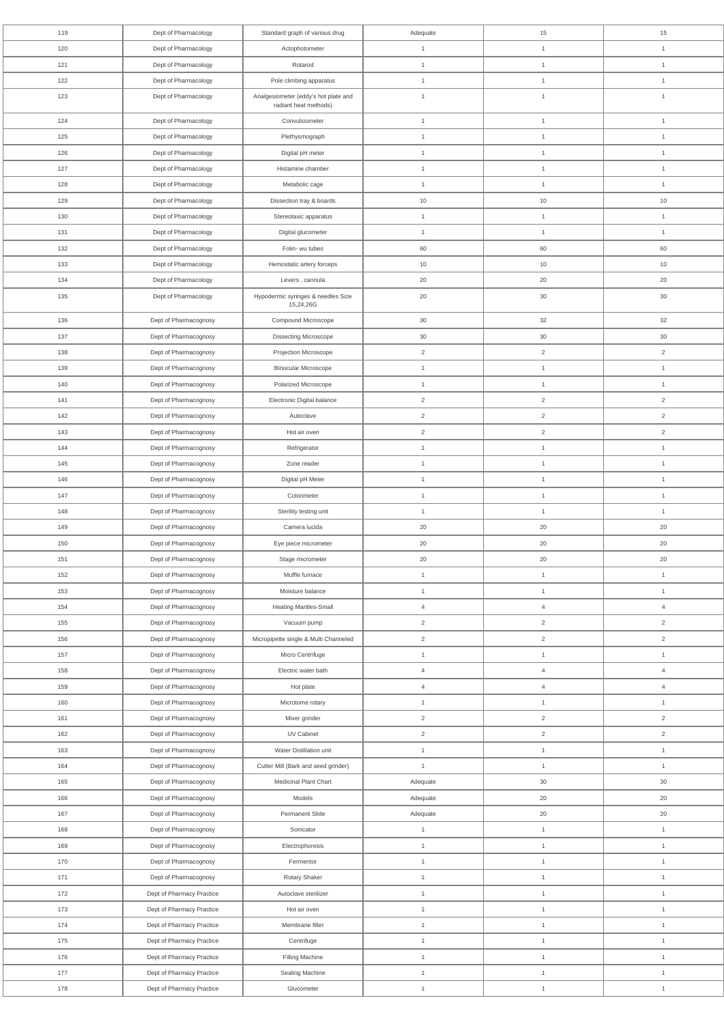| 119        | Dept of Pharmacology                               | Standard graph of various drug                                | Adequate                     | 15                           | 15                             |
|------------|----------------------------------------------------|---------------------------------------------------------------|------------------------------|------------------------------|--------------------------------|
| 120        | Dept of Pharmacology                               | Actophotometer                                                | $\mathbf{1}$                 | $\mathbf{1}$                 | $\mathbf{1}$                   |
| 121        | Dept of Pharmacology                               | Rotarod                                                       | $\mathbf{1}$                 | $\mathbf{1}$                 | $\mathbf{1}$                   |
| 122        | Dept of Pharmacology                               | Pole climbing apparatus                                       | $\mathbf{1}$                 | $\mathbf{1}$                 | $\mathbf{1}$                   |
| 123        | Dept of Pharmacology                               | Analgesiometer (eddy's hot plate and<br>radiant heat methods) | $\mathbf{1}$                 | $\mathbf{1}$                 | $\overline{1}$                 |
| 124        | Dept of Pharmacology                               | Convulsiometer                                                | $\mathbf{1}$                 | $\mathbf{1}$                 | $\mathbf{1}$                   |
| 125        | Dept of Pharmacology                               | Plethysmograph                                                | $\mathbf{1}$                 | $\mathbf{1}$                 | $\mathbf{1}$                   |
| 126        | Dept of Pharmacology                               | Digital pH meter                                              | $\mathbf{1}$                 | $\mathbf{1}$                 | $\overline{1}$                 |
| 127        | Dept of Pharmacology                               | Histamine chamber                                             | $\mathbf{1}$                 | $\mathbf{1}$                 | $\mathbf{1}$                   |
| 128        | Dept of Pharmacology                               | Metabolic cage                                                | $\mathbf{1}$                 | $\mathbf{1}$                 | $\overline{1}$                 |
| 129        | Dept of Pharmacology                               | Dissection tray & boards                                      | 10                           | $10$                         | 10                             |
| 130        | Dept of Pharmacology                               | Stereotaxic apparatus                                         | $\mathbf{1}$                 | $\mathbf{1}$                 | $\mathbf{1}$                   |
| 131        | Dept of Pharmacology                               | Digital glucometer                                            | $\overline{1}$               | $\mathbf{1}$                 | $\mathbf{1}$                   |
| 132        | Dept of Pharmacology                               | Folin- wu tubes                                               | 60                           | 60                           | 60                             |
| 133        | Dept of Pharmacology                               | Hemostatic artery forceps                                     | 10                           | 10                           | 10                             |
| 134        | Dept of Pharmacology                               | Levers, cannula                                               | 20                           | 20                           | 20                             |
| 135        | Dept of Pharmacology                               | Hypodermic syringes & needles Size<br>15,24,26G               | 20                           | 30                           | 30                             |
| 136        | Dept of Pharmacognosy                              | Compound Microscope                                           | 30                           | 32                           | 32                             |
| 137        | Dept of Pharmacognosy                              | Dissecting Microscope                                         | 30                           | 30                           | 30                             |
| 138        | Dept of Pharmacognosy                              | Projection Microscope                                         | $\overline{2}$               | $\overline{2}$               | $\overline{2}$                 |
| 139        | Dept of Pharmacognosy                              | <b>Binocular Microscope</b>                                   | $\mathbf{1}$                 | $\mathbf{1}$                 | $\mathbf{1}$                   |
| 140        | Dept of Pharmacognosy                              | Polarized Microscope                                          | $\mathbf{1}$                 | $\mathbf{1}$                 | $\mathbf{1}$                   |
| 141        | Dept of Pharmacognosy                              | Electronic Digital balance                                    | 2                            | $\overline{a}$               | $\overline{2}$                 |
| 142        | Dept of Pharmacognosy                              | Autoclave                                                     | $\overline{2}$               | $\overline{2}$               | $\overline{2}$                 |
| 143        | Dept of Pharmacognosy                              | Hot air oven                                                  | $\overline{2}$               | $\overline{2}$               | $\overline{2}$                 |
| 144        | Dept of Pharmacognosy                              | Refrigerator                                                  | $\mathbf{1}$                 | $\mathbf{1}$                 | $\mathbf{1}$                   |
| 145        | Dept of Pharmacognosy                              | Zone reader                                                   | $\mathbf{1}$                 | $\mathbf{1}$                 | $\mathbf{1}$                   |
| 146        | Dept of Pharmacognosy                              | Digital pH Meter                                              | $\mathbf{1}$                 | $\mathbf{1}$                 | $\mathbf{1}$                   |
| 147        | Dept of Pharmacognosy                              | Colorimeter                                                   | $\mathbf{1}$                 | $\mathbf{1}$                 | $\mathbf{1}$                   |
| 148        | Dept of Pharmacognosy                              | Sterility testing unit                                        | $\mathbf{1}$                 | $\mathbf{1}$                 | $\mathbf{1}$                   |
| 149        | Dept of Pharmacognosy                              | Camera lucida                                                 | 20                           | 20                           | 20                             |
| 150        | Dept of Pharmacognosy                              | Eye piece micrometer                                          | 20                           | 20                           | 20                             |
| 151        | Dept of Pharmacognosy                              | Stage micrometer                                              | 20                           | 20                           | $20\,$                         |
| 152        | Dept of Pharmacognosy                              | Muffle furnace                                                | $\mathbf{1}$                 | $\mathbf{1}$                 | $\mathbf{1}$                   |
| 153        | Dept of Pharmacognosy                              | Moisture balance                                              | $\mathbf{1}$                 | $\mathbf{1}$                 | $\mathbf{1}$                   |
| 154        | Dept of Pharmacognosy                              | <b>Heating Mantles-Small</b>                                  | $\overline{4}$               | $\overline{4}$               | $\overline{4}$                 |
| 155        | Dept of Pharmacognosy                              | Vacuum pump                                                   | $\overline{2}$               | $\overline{2}$               | $\overline{2}$                 |
| 156        | Dept of Pharmacognosy                              | Micropipette single & Multi Channeled                         | $\overline{2}$               | $\overline{2}$               | $\sqrt{2}$                     |
| 157        | Dept of Pharmacognosy                              | Micro Centrifuge                                              | $\mathbf{1}$                 | $\mathbf{1}$                 | $\mathbf{1}$                   |
| 158        | Dept of Pharmacognosy                              | Electric water bath                                           | $\overline{4}$               | $\overline{4}$               | $\overline{4}$                 |
| 159        | Dept of Pharmacognosy                              | Hot plate                                                     | $\overline{4}$               | $\overline{4}$               | $\overline{4}$                 |
| 160        | Dept of Pharmacognosy                              | Microtome rotary                                              | $\mathbf{1}$                 | $\mathbf{1}$                 | $\mathbf{1}$                   |
| 161        | Dept of Pharmacognosy                              | Mixer grinder                                                 | $\overline{2}$               | $\overline{2}$               | $\sqrt{2}$                     |
| 162        | Dept of Pharmacognosy                              | UV Cabinet                                                    | $\overline{2}$               | $\overline{2}$               | $\sqrt{2}$                     |
| 163        | Dept of Pharmacognosy                              | Water Distillation unit                                       | $\mathbf{1}$                 | $\mathbf{1}$                 | $\mathbf{1}$                   |
| 164        | Dept of Pharmacognosy                              | Cutter Mill (Bark and seed grinder)                           | $\mathbf{1}$                 | $\mathbf{1}$                 | $\mathbf{1}$                   |
| 165        | Dept of Pharmacognosy                              | <b>Medicinal Plant Chart</b>                                  | Adequate                     | 30                           | 30                             |
| 166        | Dept of Pharmacognosy                              | Models                                                        | Adequate                     | 20                           | 20                             |
| 167        | Dept of Pharmacognosy                              | Permanent Slide                                               | Adequate                     | 20                           | 20                             |
| 168        | Dept of Pharmacognosy                              | Sonicator                                                     | $\mathbf{1}$                 | $\mathbf{1}$                 | $\mathbf{1}$                   |
| 169        | Dept of Pharmacognosy                              | Electrophoresis                                               | $\mathbf{1}$                 | $\mathbf{1}$                 | $\mathbf{1}$                   |
| 170        | Dept of Pharmacognosy                              | Fermentor                                                     | $\mathbf{1}$                 | $\mathbf{1}$                 | $\overline{1}$                 |
| 171<br>172 | Dept of Pharmacognosy<br>Dept of Pharmacy Practice | Rotary Shaker<br>Autoclave sterilizer                         | $\mathbf{1}$<br>$\mathbf{1}$ | $\mathbf{1}$<br>$\mathbf{1}$ | $\overline{1}$<br>$\mathbf{1}$ |
| 173        | Dept of Pharmacy Practice                          | Hot air oven                                                  | $\mathbf{1}$                 | $\mathbf{1}$                 | $\mathbf{1}$                   |
| 174        | Dept of Pharmacy Practice                          | Membrane filter                                               | $\mathbf{1}$                 | $\mathbf{1}$                 | $\mathbf{1}$                   |
| 175        | Dept of Pharmacy Practice                          | Centrifuge                                                    | $\mathbf{1}$                 | $\mathbf{1}$                 | $\mathbf{1}$                   |
| 176        | Dept of Pharmacy Practice                          | Filling Machine                                               | $\mathbf{1}$                 | $\mathbf{1}$                 | $\mathbf{1}$                   |
| 177        | Dept of Pharmacy Practice                          | Sealing Machine                                               | $\mathbf{1}$                 | $\mathbf{1}$                 | $\mathbf{1}$                   |
| 178        | Dept of Pharmacy Practice                          | Glucometer                                                    | $\mathbf{1}$                 | $\mathbf{1}$                 | $\mathbf{1}$                   |
|            |                                                    |                                                               |                              |                              |                                |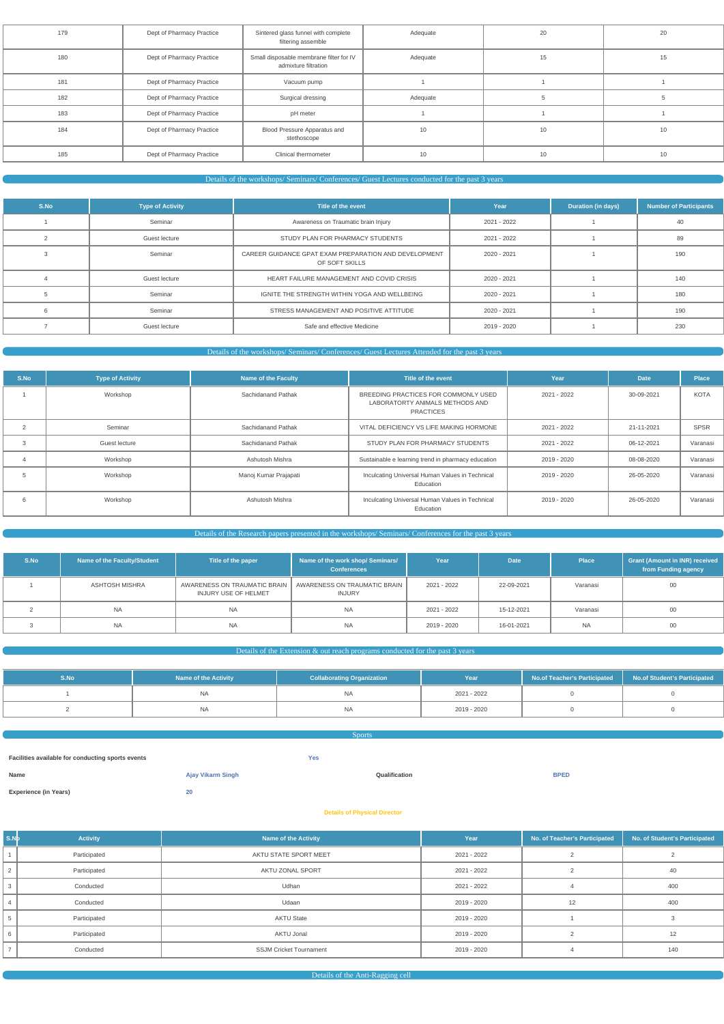| 179 | Dept of Pharmacy Practice | Sintered glass funnel with complete<br>filtering assemble       | Adequate | 20 | 20 |
|-----|---------------------------|-----------------------------------------------------------------|----------|----|----|
| 180 | Dept of Pharmacy Practice | Small disposable membrane filter for IV<br>admixture filtration | Adequate | 15 | 15 |
| 181 | Dept of Pharmacy Practice | Vacuum pump                                                     |          |    |    |
| 182 | Dept of Pharmacy Practice | Surgical dressing                                               | Adequate |    |    |
| 183 | Dept of Pharmacy Practice | pH meter                                                        |          |    |    |
| 184 | Dept of Pharmacy Practice | Blood Pressure Apparatus and<br>stethoscope                     | 10       | 10 | 10 |
| 185 | Dept of Pharmacy Practice | Clinical thermometer                                            | 10       | 10 | 10 |
|     |                           |                                                                 |          |    |    |

Details of the workshops/ Seminars/ Conferences/ Guest Lectures conducted for the past 3 years

| S.No | <b>Type of Activity</b> | Title of the event                                                      | Year        | <b>Duration (in days)</b> | <b>Number of Participants</b> |
|------|-------------------------|-------------------------------------------------------------------------|-------------|---------------------------|-------------------------------|
|      | Seminar                 | Awareness on Traumatic brain Injury                                     | 2021 - 2022 |                           | 40                            |
|      | Guest lecture           | STUDY PLAN FOR PHARMACY STUDENTS                                        | 2021 - 2022 |                           | 89                            |
|      | Seminar                 | CAREER GUIDANCE GPAT EXAM PREPARATION AND DEVELOPMENT<br>OF SOFT SKILLS | 2020 - 2021 |                           | 190                           |
|      | Guest lecture           | HEART FAILURE MANAGEMENT AND COVID CRISIS                               | 2020 - 2021 |                           | 140                           |
|      | Seminar                 | IGNITE THE STRENGTH WITHIN YOGA AND WELLBEING                           | 2020 - 2021 |                           | 180                           |
|      | Seminar                 | STRESS MANAGEMENT AND POSITIVE ATTITUDE                                 | 2020 - 2021 |                           | 190                           |
|      | Guest lecture           | Safe and effective Medicine                                             | 2019 - 2020 |                           | 230                           |

### Details of the workshops/ Seminars/ Conferences/ Guest Lectures Attended for the past 3 years

| S.No | <b>Type of Activity</b> | <b>Name of the Faculty</b> | Title of the event                                                                          | Year        | <b>Date</b> | Place       |
|------|-------------------------|----------------------------|---------------------------------------------------------------------------------------------|-------------|-------------|-------------|
|      | Workshop                | Sachidanand Pathak         | BREEDING PRACTICES FOR COMMONLY USED<br>LABORATORTY ANIMALS METHODS AND<br><b>PRACTICES</b> | 2021 - 2022 | 30-09-2021  | <b>KOTA</b> |
| C    | Seminar                 | Sachidanand Pathak         | VITAL DEFICIENCY VS LIFE MAKING HORMONE                                                     | 2021 - 2022 | 21-11-2021  | <b>SPSR</b> |
| 3    | Guest lecture           | Sachidanand Pathak         | STUDY PLAN FOR PHARMACY STUDENTS                                                            | 2021 - 2022 | 06-12-2021  | Varanasi    |
|      | Workshop                | Ashutosh Mishra            | Sustainable e learning trend in pharmacy education                                          | 2019 - 2020 | 08-08-2020  | Varanasi    |
|      | Workshop                | Manoj Kumar Prajapati      | Inculcating Universal Human Values in Technical<br>Education                                | 2019 - 2020 | 26-05-2020  | Varanasi    |
| 6    | Workshop                | Ashutosh Mishra            | Inculcating Universal Human Values in Technical<br>Education                                | 2019 - 2020 | 26-05-2020  | Varanasi    |

Details of the Research papers presented in the workshops/ Seminars/ Conferences for the past 3 years

| S.No | Name of the Faculty/Student | Title of the paper                                          | Name of the work shop/ Seminars/<br><b>Conferences</b> | Year        | <b>Date</b> | <b>Place</b> | Grant (Amount in INR) received<br>from Funding agency |
|------|-----------------------------|-------------------------------------------------------------|--------------------------------------------------------|-------------|-------------|--------------|-------------------------------------------------------|
|      | ASHTOSH MISHRA              | AWARENESS ON TRAUMATIC BRAIN<br><b>INJURY USE OF HELMET</b> | AWARENESS ON TRAUMATIC BRAIN<br><b>INJURY</b>          | 2021 - 2022 | 22-09-2021  | Varanasi     | 00                                                    |
|      | <b>NA</b>                   | <b>NA</b>                                                   | <b>NA</b>                                              | 2021 - 2022 | 15-12-2021  | Varanasi     | $00\,$                                                |
|      | <b>NA</b>                   | <b>NA</b>                                                   | <b>NA</b>                                              | 2019 - 2020 | 16-01-2021  | <b>NA</b>    | 00                                                    |

### Details of the Extension & out reach programs conducted for the past 3 years

| S.No | <b>Name of the Activity</b> | <b>Collaborating Organization</b> | Year        | No.of Teacher's Participated No.of Student's Participated |  |
|------|-----------------------------|-----------------------------------|-------------|-----------------------------------------------------------|--|
|      | <b>NA</b>                   |                                   | 2021 - 2022 |                                                           |  |
|      | <b>NA</b>                   | <b>INA</b>                        | 2019 - 2020 |                                                           |  |

**Sports** 

**Facilities available for conducting sports events Yes**

**Name Ajay Vikarm Singh Qualification BPED**

**Experience (in Years) 20**

#### **Details of Physical Director**

| S.Nb           | <b>Activity</b> | <b>Name of the Activity</b>    | Year        | No. of Teacher's Participated | No. of Student's Participated |
|----------------|-----------------|--------------------------------|-------------|-------------------------------|-------------------------------|
|                | Participated    | AKTU STATE SPORT MEET          | 2021 - 2022 |                               |                               |
| $\mathfrak{D}$ | Participated    | AKTU ZONAL SPORT               | 2021 - 2022 |                               | 40                            |
| 3              | Conducted       | Udhan                          | 2021 - 2022 |                               | 400                           |
|                | Conducted       | Udaan                          | 2019 - 2020 | 12                            | 400                           |
|                | Participated    | <b>AKTU State</b>              | 2019 - 2020 |                               |                               |
| 6              | Participated    | AKTU Jonal                     | 2019 - 2020 |                               | 12                            |
|                | Conducted       | <b>SSJM Cricket Tournament</b> | 2019 - 2020 |                               | 140                           |

Details of the Anti-Ragging cell